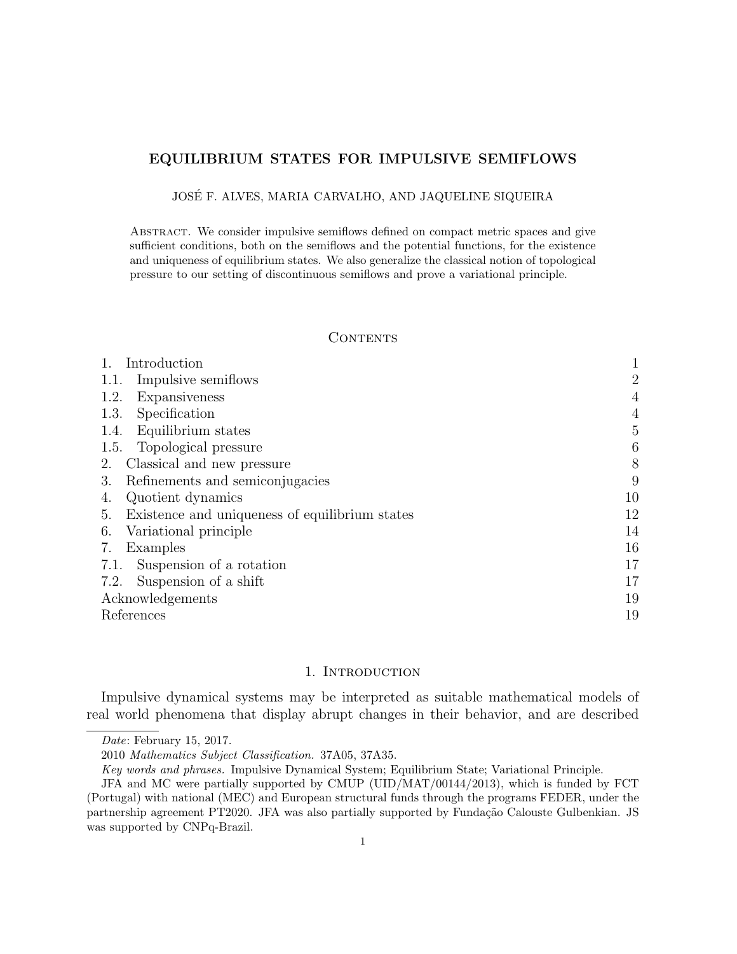# **EQUILIBRIUM STATES FOR IMPULSIVE SEMIFLOWS**

JOSE F. ALVES, MARIA CARVALHO, AND JAQUELINE SIQUEIRA ´

Abstract. We consider impulsive semiflows defined on compact metric spaces and give sufficient conditions, both on the semiflows and the potential functions, for the existence and uniqueness of equilibrium states. We also generalize the classical notion of topological pressure to our setting of discontinuous semiflows and prove a variational principle.

#### CONTENTS

| Introduction                                         |                |
|------------------------------------------------------|----------------|
| Impulsive semiflows<br>1.1.                          | $\overline{2}$ |
| 1.2.<br>Expansiveness                                | 4              |
| Specification<br>1.3.                                | $\overline{4}$ |
| Equilibrium states<br>1.4.                           | 5              |
| Topological pressure<br>1.5.                         | 6              |
| Classical and new pressure<br>2.                     | 8              |
| Refinements and semiconjugacies<br>3.                | 9              |
| Quotient dynamics<br>4.                              | 10             |
| Existence and uniqueness of equilibrium states<br>5. | 12             |
| Variational principle<br>6.                          | 14             |
| Examples<br>7.                                       | 16             |
| Suspension of a rotation<br>7.1.                     | 17             |
| Suspension of a shift<br>7.2.                        | 17             |
| Acknowledgements                                     | 19             |
| References                                           | 19             |

### 1. INTRODUCTION

Impulsive dynamical systems may be interpreted as suitable mathematical models of real world phenomena that display abrupt changes in their behavior, and are described

*Date*: February 15, 2017.

<sup>2010</sup> *Mathematics Subject Classification.* 37A05, 37A35.

*Key words and phrases.* Impulsive Dynamical System; Equilibrium State; Variational Principle.

JFA and MC were partially supported by CMUP (UID/MAT/00144/2013), which is funded by FCT (Portugal) with national (MEC) and European structural funds through the programs FEDER, under the partnership agreement PT2020. JFA was also partially supported by Fundação Calouste Gulbenkian. JS was supported by CNPq-Brazil.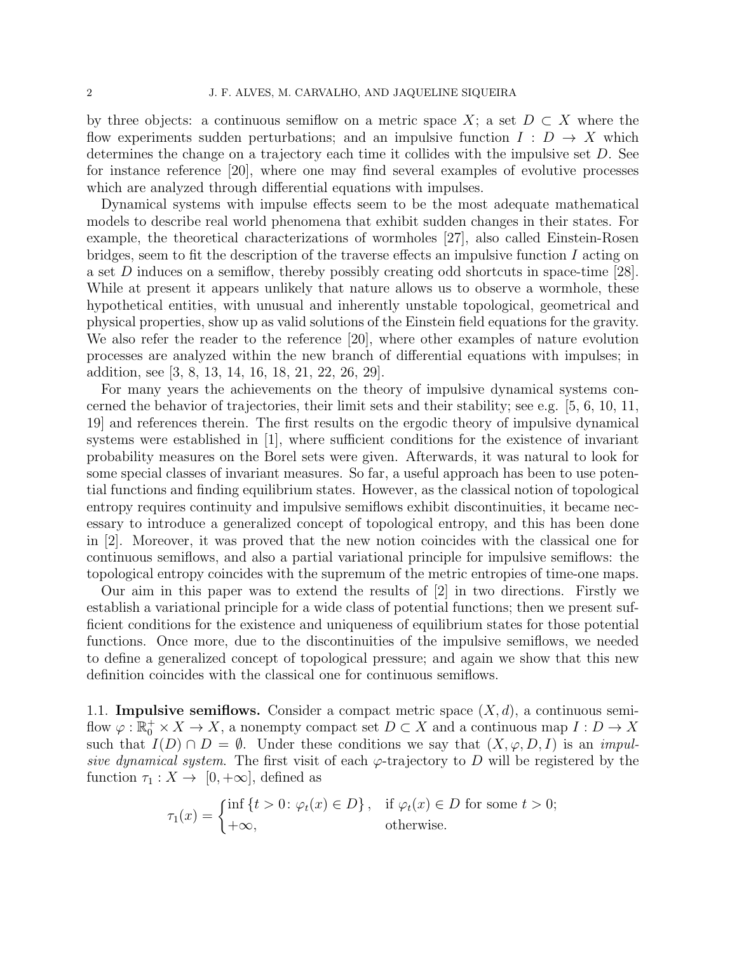by three objects: a continuous semiflow on a metric space  $X$ ; a set  $D \subset X$  where the flow experiments sudden perturbations; and an impulsive function  $I: D \to X$  which determines the change on a trajectory each time it collides with the impulsive set *D*. See for instance reference [20], where one may find several examples of evolutive processes which are analyzed through differential equations with impulses.

Dynamical systems with impulse effects seem to be the most adequate mathematical models to describe real world phenomena that exhibit sudden changes in their states. For example, the theoretical characterizations of wormholes [27], also called Einstein-Rosen bridges, seem to fit the description of the traverse effects an impulsive function *I* acting on a set *D* induces on a semiflow, thereby possibly creating odd shortcuts in space-time [28]. While at present it appears unlikely that nature allows us to observe a wormhole, these hypothetical entities, with unusual and inherently unstable topological, geometrical and physical properties, show up as valid solutions of the Einstein field equations for the gravity. We also refer the reader to the reference [20], where other examples of nature evolution processes are analyzed within the new branch of differential equations with impulses; in addition, see [3, 8, 13, 14, 16, 18, 21, 22, 26, 29].

For many years the achievements on the theory of impulsive dynamical systems concerned the behavior of trajectories, their limit sets and their stability; see e.g. [5, 6, 10, 11, 19] and references therein. The first results on the ergodic theory of impulsive dynamical systems were established in [1], where sufficient conditions for the existence of invariant probability measures on the Borel sets were given. Afterwards, it was natural to look for some special classes of invariant measures. So far, a useful approach has been to use potential functions and finding equilibrium states. However, as the classical notion of topological entropy requires continuity and impulsive semiflows exhibit discontinuities, it became necessary to introduce a generalized concept of topological entropy, and this has been done in [2]. Moreover, it was proved that the new notion coincides with the classical one for continuous semiflows, and also a partial variational principle for impulsive semiflows: the topological entropy coincides with the supremum of the metric entropies of time-one maps.

Our aim in this paper was to extend the results of [2] in two directions. Firstly we establish a variational principle for a wide class of potential functions; then we present sufficient conditions for the existence and uniqueness of equilibrium states for those potential functions. Once more, due to the discontinuities of the impulsive semiflows, we needed to define a generalized concept of topological pressure; and again we show that this new definition coincides with the classical one for continuous semiflows.

1.1. **Impulsive semiflows.** Consider a compact metric space  $(X, d)$ , a continuous semiflow  $\varphi : \mathbb{R}_0^+ \times X \to X$ , a nonempty compact set  $D \subset X$  and a continuous map  $I: D \to X$ such that  $I(D) \cap D = \emptyset$ . Under these conditions we say that  $(X, \varphi, D, I)$  is an *impulsive dynamical system.* The first visit of each  $\varphi$ -trajectory to *D* will be registered by the function  $\tau_1 : X \to [0, +\infty]$ , defined as

$$
\tau_1(x) = \begin{cases} \inf \{ t > 0 \colon \varphi_t(x) \in D \}, & \text{if } \varphi_t(x) \in D \text{ for some } t > 0; \\ +\infty, & \text{otherwise.} \end{cases}
$$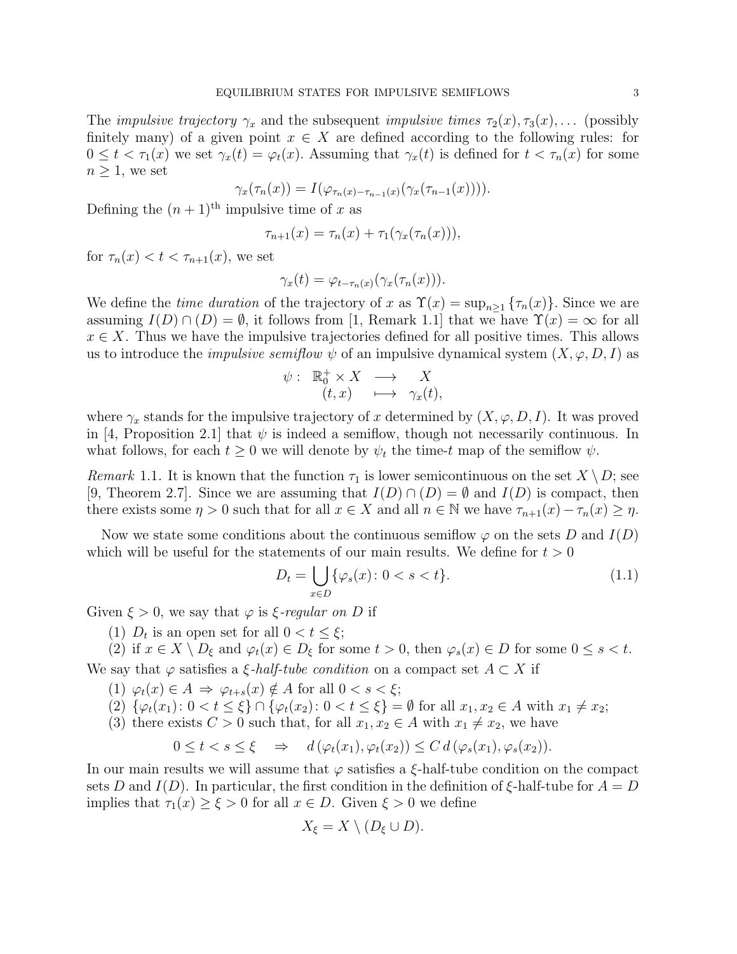The *impulsive trajectory*  $\gamma_x$  and the subsequent *impulsive times*  $\tau_2(x), \tau_3(x), \ldots$  (possibly finitely many) of a given point  $x \in X$  are defined according to the following rules: for  $0 \leq t < \tau_1(x)$  we set  $\gamma_x(t) = \varphi_t(x)$ . Assuming that  $\gamma_x(t)$  is defined for  $t < \tau_n(x)$  for some  $n \geq 1$ , we set

$$
\gamma_x(\tau_n(x)) = I(\varphi_{\tau_n(x) - \tau_{n-1}(x)}(\gamma_x(\tau_{n-1}(x))))
$$

Defining the  $(n + 1)$ <sup>th</sup> impulsive time of *x* as

$$
\tau_{n+1}(x) = \tau_n(x) + \tau_1(\gamma_x(\tau_n(x))),
$$

for  $\tau_n(x) < t < \tau_{n+1}(x)$ , we set

$$
\gamma_x(t) = \varphi_{t-\tau_n(x)}(\gamma_x(\tau_n(x))).
$$

We define the *time duration* of the trajectory of *x* as  $\Upsilon(x) = \sup_{n \geq 1} {\tau_n(x)}$ . Since we are assuming  $I(D) \cap (D) = \emptyset$ , it follows from [1, Remark 1.1] that we have  $\Upsilon(x) = \infty$  for all  $x \in X$ . Thus we have the impulsive trajectories defined for all positive times. This allows us to introduce the *impulsive semiflow*  $\psi$  of an impulsive dynamical system  $(X, \varphi, D, I)$  as

$$
\psi: \begin{array}{rcl} \mathbb{R}_0^+ \times X & \longrightarrow & X \\ (t,x) & \longmapsto & \gamma_x(t), \end{array}
$$

where  $\gamma_x$  stands for the impulsive trajectory of *x* determined by  $(X, \varphi, D, I)$ . It was proved in [4, Proposition 2.1] that  $\psi$  is indeed a semiflow, though not necessarily continuous. In what follows, for each  $t \geq 0$  we will denote by  $\psi_t$  the time-*t* map of the semiflow  $\psi$ .

*Remark* 1.1. It is known that the function  $\tau_1$  is lower semicontinuous on the set  $X \setminus D$ ; see [9, Theorem 2.7]. Since we are assuming that  $I(D) \cap (D) = \emptyset$  and  $I(D)$  is compact, then there exists some  $\eta > 0$  such that for all  $x \in X$  and all  $n \in \mathbb{N}$  we have  $\tau_{n+1}(x) - \tau_n(x) \geq \eta$ .

Now we state some conditions about the continuous semiflow  $\varphi$  on the sets *D* and *I*(*D*) which will be useful for the statements of our main results. We define for *t >* 0

$$
D_t = \bigcup_{x \in D} \{ \varphi_s(x) \colon 0 < s < t \}. \tag{1.1}
$$

Given  $\xi > 0$ , we say that  $\varphi$  is  $\xi$ -regular on D if

(1)  $D_t$  is an open set for all  $0 < t \leq \xi$ ;

(2) if  $x \in X \setminus D_{\xi}$  and  $\varphi_t(x) \in D_{\xi}$  for some  $t > 0$ , then  $\varphi_s(x) \in D$  for some  $0 \le s < t$ .

We say that  $\varphi$  satisfies a *ξ*-*half-tube condition* on a compact set  $A \subset X$  if

- (1)  $\varphi_t(x) \in A \implies \varphi_{t+s}(x) \notin A$  for all  $0 < s < \xi$ ;
- (2)  $\{\varphi_t(x_1): 0 < t \leq \xi\} \cap \{\varphi_t(x_2): 0 < t \leq \xi\} = \emptyset$  for all  $x_1, x_2 \in A$  with  $x_1 \neq x_2$ ;
- (3) there exists  $C > 0$  such that, for all  $x_1, x_2 \in A$  with  $x_1 \neq x_2$ , we have

$$
0 \leq t < s \leq \xi \quad \Rightarrow \quad d\left(\varphi_t(x_1), \varphi_t(x_2)\right) \leq C \, d\left(\varphi_s(x_1), \varphi_s(x_2)\right).
$$

In our main results we will assume that *φ* satisfies a *ξ*-half-tube condition on the compact sets *D* and *I*(*D*). In particular, the first condition in the definition of  $\xi$ -half-tube for  $A = D$ implies that  $\tau_1(x) \geq \xi > 0$  for all  $x \in D$ . Given  $\xi > 0$  we define

$$
X_{\xi} = X \setminus (D_{\xi} \cup D).
$$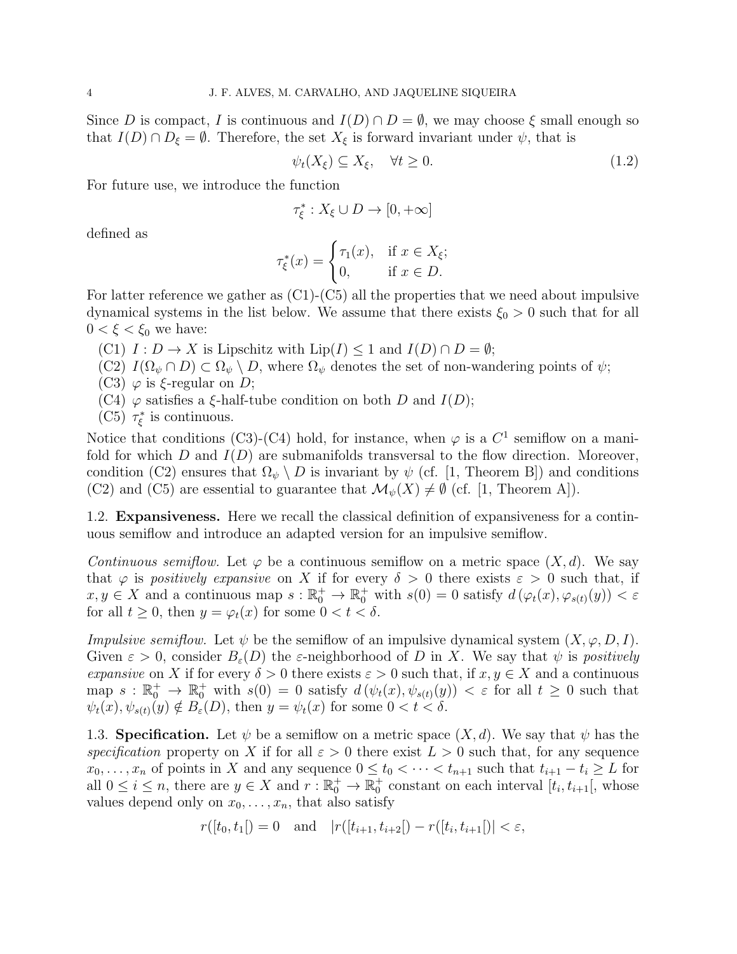Since *D* is compact, *I* is continuous and  $I(D) \cap D = \emptyset$ , we may choose  $\xi$  small enough so that  $I(D) \cap D_{\xi} = \emptyset$ . Therefore, the set  $X_{\xi}$  is forward invariant under  $\psi$ , that is

$$
\psi_t(X_\xi) \subseteq X_\xi, \quad \forall t \ge 0. \tag{1.2}
$$

For future use, we introduce the function

$$
\tau_{\xi}^*: X_{\xi} \cup D \to [0, +\infty]
$$

defined as

$$
\tau_{\xi}^*(x) = \begin{cases} \tau_1(x), & \text{if } x \in X_{\xi}; \\ 0, & \text{if } x \in D. \end{cases}
$$

For latter reference we gather as  $(C1)$ - $(C5)$  all the properties that we need about impulsive dynamical systems in the list below. We assume that there exists  $\xi_0 > 0$  such that for all  $0 < \xi < \xi_0$  we have:

 $(C1)$   $I: D \to X$  is Lipschitz with  $Lip(I) \leq 1$  and  $I(D) \cap D = \emptyset$ ;

- $(C2)$   $I(\Omega_{\psi} \cap D) \subset \Omega_{\psi} \setminus D$ , where  $\Omega_{\psi}$  denotes the set of non-wandering points of  $\psi$ ;
- (C3) *φ* is *ξ*-regular on *D*;
- (C4) *φ* satisfies a *ξ*-half-tube condition on both *D* and *I*(*D*);
- (C5)  $\tau_{\xi}^{*}$  is continuous.

Notice that conditions (C3)-(C4) hold, for instance, when  $\varphi$  is a  $C^1$  semiflow on a manifold for which *D* and  $I(D)$  are submanifolds transversal to the flow direction. Moreover, condition (C2) ensures that  $\Omega_{\psi} \setminus D$  is invariant by  $\psi$  (cf. [1, Theorem B]) and conditions (C2) and (C5) are essential to guarantee that  $\mathcal{M}_{\psi}(X) \neq \emptyset$  (cf. [1, Theorem A]).

1.2. **Expansiveness.** Here we recall the classical definition of expansiveness for a continuous semiflow and introduce an adapted version for an impulsive semiflow.

*Continuous semiflow.* Let  $\varphi$  be a continuous semiflow on a metric space  $(X, d)$ . We say that  $\varphi$  is *positively expansive* on *X* if for every  $\delta > 0$  there exists  $\varepsilon > 0$  such that, if  $x, y \in X$  and a continuous map  $s : \mathbb{R}_0^+ \to \mathbb{R}_0^+$  with  $s(0) = 0$  satisfy  $d(\varphi_t(x), \varphi_{s(t)}(y)) < \varepsilon$ for all  $t \geq 0$ , then  $y = \varphi_t(x)$  for some  $0 < t < \delta$ .

*Impulsive semiflow.* Let  $\psi$  be the semiflow of an impulsive dynamical system  $(X, \varphi, D, I)$ . Given  $\varepsilon > 0$ , consider  $B_{\varepsilon}(D)$  the  $\varepsilon$ -neighborhood of D in X. We say that  $\psi$  is *positively expansive* on *X* if for every  $\delta > 0$  there exists  $\varepsilon > 0$  such that, if  $x, y \in X$  and a continuous  $\text{map } s: \mathbb{R}_0^+ \to \mathbb{R}_0^+ \text{ with } s(0) = 0 \text{ satisfy } d(\psi_t(x), \psi_{s(t)}(y)) < \varepsilon \text{ for all } t \geq 0 \text{ such that }$  $\psi_t(x), \psi_{s(t)}(y) \notin B_{\varepsilon}(D)$ , then  $y = \psi_t(x)$  for some  $0 < t < \delta$ .

1.3. **Specification.** Let  $\psi$  be a semiflow on a metric space  $(X, d)$ . We say that  $\psi$  has the *specification* property on *X* if for all  $\varepsilon > 0$  there exist  $L > 0$  such that, for any sequence  $x_0, \ldots, x_n$  of points in *X* and any sequence  $0 \le t_0 < \cdots < t_{n+1}$  such that  $t_{i+1} - t_i \ge L$  for all  $0 \leq i \leq n$ , there are  $y \in X$  and  $r : \mathbb{R}_0^+ \to \mathbb{R}_0^+$  constant on each interval  $[t_i, t_{i+1}]$ , whose values depend only on  $x_0, \ldots, x_n$ , that also satisfy

$$
r([t_0, t_1]) = 0
$$
 and  $|r([t_{i+1}, t_{i+2}]) - r([t_i, t_{i+1}])| < \varepsilon$ ,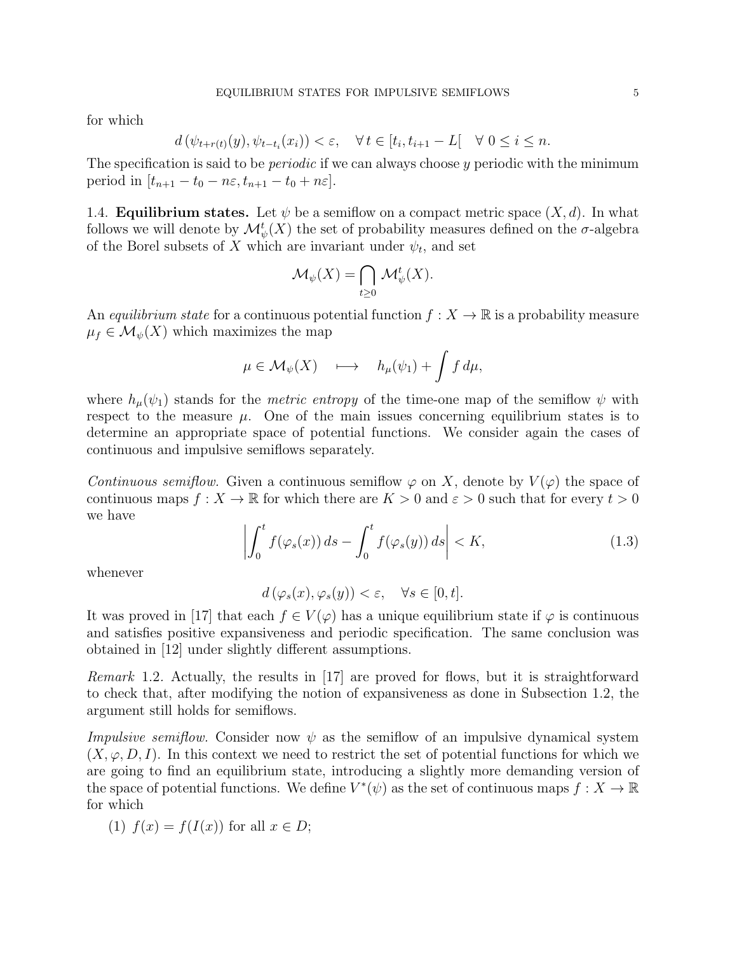for which

$$
d(\psi_{t+r(t)}(y), \psi_{t-t_i}(x_i)) < \varepsilon, \quad \forall \, t \in [t_i, t_{i+1} - L[ \quad \forall \, 0 \le i \le n.
$$

The specification is said to be *periodic* if we can always choose *y* periodic with the minimum period in  $[t_{n+1} - t_0 - n\varepsilon, t_{n+1} - t_0 + n\varepsilon].$ 

1.4. **Equilibrium states.** Let  $\psi$  be a semiflow on a compact metric space  $(X, d)$ . In what follows we will denote by  $\mathcal{M}_{\psi}^{t}(X)$  the set of probability measures defined on the  $\sigma$ -algebra of the Borel subsets of *X* which are invariant under  $\psi_t$ , and set

$$
\mathcal{M}_{\psi}(X) = \bigcap_{t \geq 0} \mathcal{M}_{\psi}^{t}(X).
$$

An *equilibrium state* for a continuous potential function  $f: X \to \mathbb{R}$  is a probability measure  $\mu_f \in \mathcal{M}_{\psi}(X)$  which maximizes the map

$$
\mu \in \mathcal{M}_{\psi}(X) \quad \longmapsto \quad h_{\mu}(\psi_1) + \int f \, d\mu,
$$

where  $h_{\mu}(\psi_1)$  stands for the *metric entropy* of the time-one map of the semiflow  $\psi$  with respect to the measure  $\mu$ . One of the main issues concerning equilibrium states is to determine an appropriate space of potential functions. We consider again the cases of continuous and impulsive semiflows separately.

*Continuous semiflow.* Given a continuous semiflow  $\varphi$  on X, denote by  $V(\varphi)$  the space of continuous maps  $f: X \to \mathbb{R}$  for which there are  $K > 0$  and  $\varepsilon > 0$  such that for every  $t > 0$ we have

$$
\left| \int_0^t f(\varphi_s(x)) \, ds - \int_0^t f(\varphi_s(y)) \, ds \right| < K,\tag{1.3}
$$

whenever

 $d(\varphi_s(x), \varphi_s(y)) < \varepsilon, \quad \forall s \in [0, t].$ 

It was proved in [17] that each  $f \in V(\varphi)$  has a unique equilibrium state if  $\varphi$  is continuous and satisfies positive expansiveness and periodic specification. The same conclusion was obtained in [12] under slightly different assumptions.

*Remark* 1.2. Actually, the results in [17] are proved for flows, but it is straightforward to check that, after modifying the notion of expansiveness as done in Subsection 1.2, the argument still holds for semiflows.

*Impulsive semiflow.* Consider now *ψ* as the semiflow of an impulsive dynamical system  $(X, \varphi, D, I)$ . In this context we need to restrict the set of potential functions for which we are going to find an equilibrium state, introducing a slightly more demanding version of the space of potential functions. We define  $V^*(\psi)$  as the set of continuous maps  $f: X \to \mathbb{R}$ for which

(1) 
$$
f(x) = f(I(x))
$$
 for all  $x \in D$ ;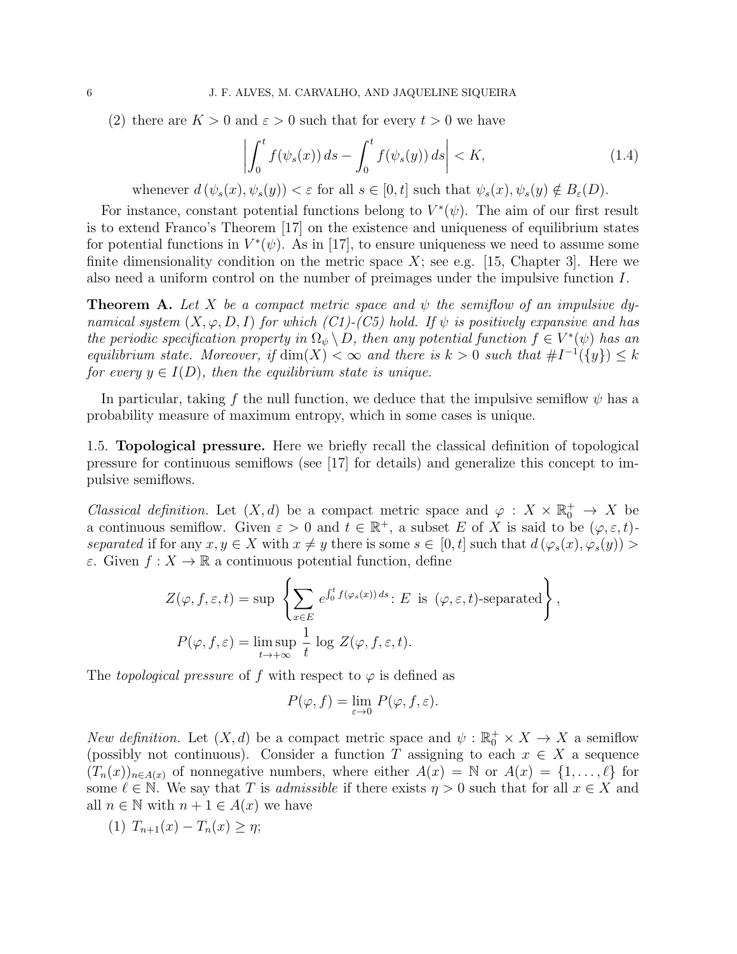(2) there are  $K > 0$  and  $\varepsilon > 0$  such that for every  $t > 0$  we have

$$
\left| \int_0^t f(\psi_s(x)) ds - \int_0^t f(\psi_s(y)) ds \right| < K,\tag{1.4}
$$

whenever  $d(\psi_s(x), \psi_s(y)) < \varepsilon$  for all  $s \in [0, t]$  such that  $\psi_s(x), \psi_s(y) \notin B_{\varepsilon}(D)$ .

For instance, constant potential functions belong to  $V^*(\psi)$ . The aim of our first result is to extend Franco's Theorem [17] on the existence and uniqueness of equilibrium states for potential functions in  $V^*(\psi)$ . As in [17], to ensure uniqueness we need to assume some finite dimensionality condition on the metric space  $X$ ; see e.g. [15, Chapter 3]. Here we also need a uniform control on the number of preimages under the impulsive function *I*.

**Theorem A.** *Let X be a compact metric space and ψ the semiflow of an impulsive dynamical system*  $(X, \varphi, D, I)$  *for which*  $(Cl)$ - $(C5)$  *hold.* If  $\psi$  *is positively expansive and has the periodic specification property in*  $\Omega_{\psi} \setminus D$ , then any potential function  $f \in V^*(\psi)$  has an *equilibrium state. Moreover, if*  $\dim(X) < \infty$  *and there is*  $k > 0$  *such that*  $\#I^{-1}(\{y\}) \leq k$ *for every*  $y \in I(D)$ *, then the equilibrium state is unique.* 

In particular, taking f the null function, we deduce that the impulsive semiflow  $\psi$  has a probability measure of maximum entropy, which in some cases is unique.

1.5. **Topological pressure.** Here we briefly recall the classical definition of topological pressure for continuous semiflows (see [17] for details) and generalize this concept to impulsive semiflows.

*Classical definition.* Let  $(X, d)$  be a compact metric space and  $\varphi : X \times \mathbb{R}_0^+ \to X$  be a continuous semiflow. Given  $\varepsilon > 0$  and  $t \in \mathbb{R}^+$ , a subset *E* of *X* is said to be  $(\varphi, \varepsilon, t)$ *separated* if for any  $x, y \in X$  with  $x \neq y$  there is some  $s \in [0, t]$  such that  $d(\varphi_s(x), \varphi_s(y)) >$ *ε*. Given  $f: X \to \mathbb{R}$  a continuous potential function, define

$$
Z(\varphi, f, \varepsilon, t) = \sup \left\{ \sum_{x \in E} e^{\int_0^t f(\varphi_s(x)) ds} : E \text{ is } (\varphi, \varepsilon, t) \text{-separated} \right\},
$$
  

$$
P(\varphi, f, \varepsilon) = \limsup_{t \to +\infty} \frac{1}{t} \log Z(\varphi, f, \varepsilon, t).
$$

The *topological pressure* of f with respect to  $\varphi$  is defined as

$$
P(\varphi, f) = \lim_{\varepsilon \to 0} P(\varphi, f, \varepsilon).
$$

*New definition.* Let  $(X, d)$  be a compact metric space and  $\psi$ :  $\mathbb{R}_0^+ \times X \to X$  a semiflow (possibly not continuous). Consider a function *T* assigning to each  $x \in X$  a sequence  $(T_n(x))_{n \in A(x)}$  of nonnegative numbers, where either  $A(x) = \mathbb{N}$  or  $A(x) = \{1, \ldots, \ell\}$  for some  $\ell \in \mathbb{N}$ . We say that *T* is *admissible* if there exists  $\eta > 0$  such that for all  $x \in X$  and all  $n \in \mathbb{N}$  with  $n + 1 \in A(x)$  we have

(1)  $T_{n+1}(x) - T_n(x) \geq \eta;$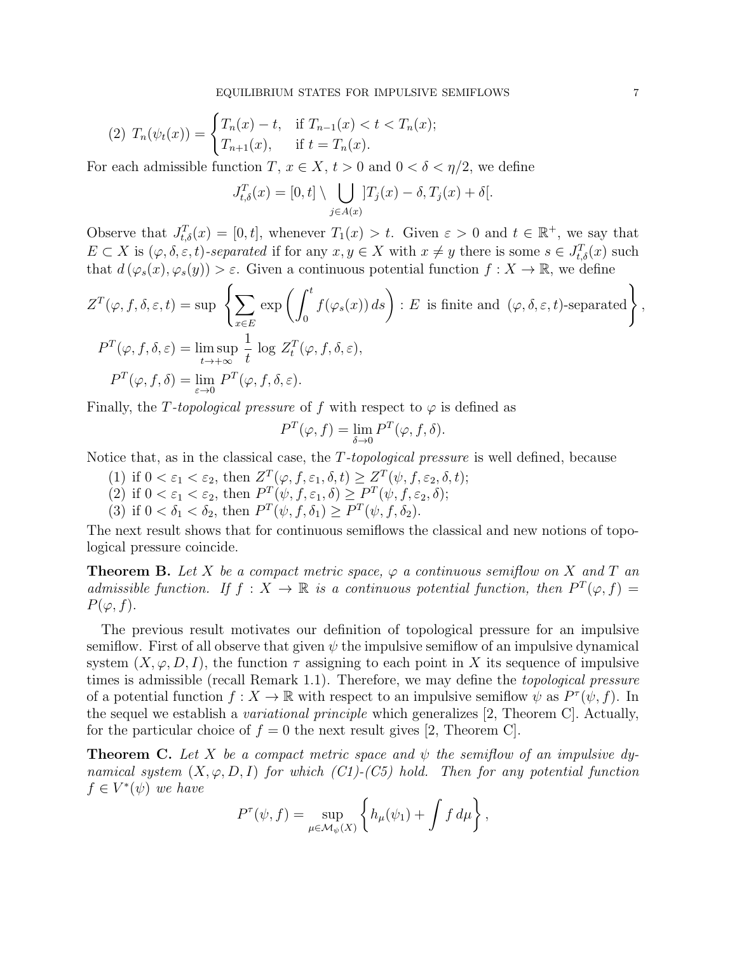(2) 
$$
T_n(\psi_t(x)) = \begin{cases} T_n(x) - t, & \text{if } T_{n-1}(x) < t < T_n(x); \\ T_{n+1}(x), & \text{if } t = T_n(x). \end{cases}
$$

For each admissible function *T*,  $x \in X$ ,  $t > 0$  and  $0 < \delta < \eta/2$ , we define

$$
J_{t,\delta}^T(x) = [0,t] \setminus \bigcup_{j \in A(x)}] T_j(x) - \delta, T_j(x) + \delta.
$$

Observe that  $J_{t,\delta}^T(x) = [0,t]$ , whenever  $T_1(x) > t$ . Given  $\varepsilon > 0$  and  $t \in \mathbb{R}^+$ , we say that  $E \subset X$  is  $(\varphi, \delta, \varepsilon, t)$ *-separated* if for any  $x, y \in X$  with  $x \neq y$  there is some  $s \in J_{t,\delta}^T(x)$  such that  $d(\varphi_s(x), \varphi_s(y)) > \varepsilon$ . Given a continuous potential function  $f: X \to \mathbb{R}$ , we define

$$
Z^T(\varphi, f, \delta, \varepsilon, t) = \sup \left\{ \sum_{x \in E} \exp \left( \int_0^t f(\varphi_s(x)) \, ds \right) : E \text{ is finite and } (\varphi, \delta, \varepsilon, t) \text{-separated} \right\},
$$
  

$$
P^T(\varphi, f, \delta, \varepsilon) = \limsup_{t \to +\infty} \frac{1}{t} \log Z_t^T(\varphi, f, \delta, \varepsilon),
$$
  

$$
P^T(\varphi, f, \delta) = \lim_{\varepsilon \to 0} P^T(\varphi, f, \delta, \varepsilon).
$$

Finally, the *T*-topological pressure of f with respect to  $\varphi$  is defined as

$$
P^T(\varphi, f) = \lim_{\delta \to 0} P^T(\varphi, f, \delta).
$$

Notice that, as in the classical case, the *T-topological pressure* is well defined, because

- (1) if  $0 < \varepsilon_1 < \varepsilon_2$ , then  $Z^T(\varphi, f, \varepsilon_1, \delta, t) \geq Z^T(\psi, f, \varepsilon_2, \delta, t);$
- (2) if  $0 < \varepsilon_1 < \varepsilon_2$ , then  $P^T(\psi, f, \varepsilon_1, \delta) \ge P^T(\psi, f, \varepsilon_2, \delta);$
- (3) if  $0 < \delta_1 < \delta_2$ , then  $P^T(\psi, f, \delta_1) \ge P^T(\psi, f, \delta_2)$ .

The next result shows that for continuous semiflows the classical and new notions of topological pressure coincide.

**Theorem B.** Let X be a compact metric space,  $\varphi$  a continuous semiflow on X and T and *admissible function.* If  $f: X \to \mathbb{R}$  *is a continuous potential function, then*  $P^T(\varphi, f) =$  $P(\varphi, f)$ .

The previous result motivates our definition of topological pressure for an impulsive semiflow. First of all observe that given  $\psi$  the impulsive semiflow of an impulsive dynamical system  $(X, \varphi, D, I)$ , the function  $\tau$  assigning to each point in X its sequence of impulsive times is admissible (recall Remark 1.1). Therefore, we may define the *topological pressure* of a potential function  $f: X \to \mathbb{R}$  with respect to an impulsive semiflow  $\psi$  as  $P^{\tau}(\psi, f)$ . In the sequel we establish a *variational principle* which generalizes [2, Theorem C]. Actually, for the particular choice of  $f = 0$  the next result gives [2, Theorem C].

**Theorem C.** Let *X* be a compact metric space and  $\psi$  the semiflow of an impulsive dy*namical system* (*X, φ, D, I*) *for which (C1)-(C5) hold. Then for any potential function*  $f \in V^*(\psi)$  *we have* 

$$
P^{\tau}(\psi, f) = \sup_{\mu \in \mathcal{M}_{\psi}(X)} \left\{ h_{\mu}(\psi_1) + \int f d\mu \right\},\,
$$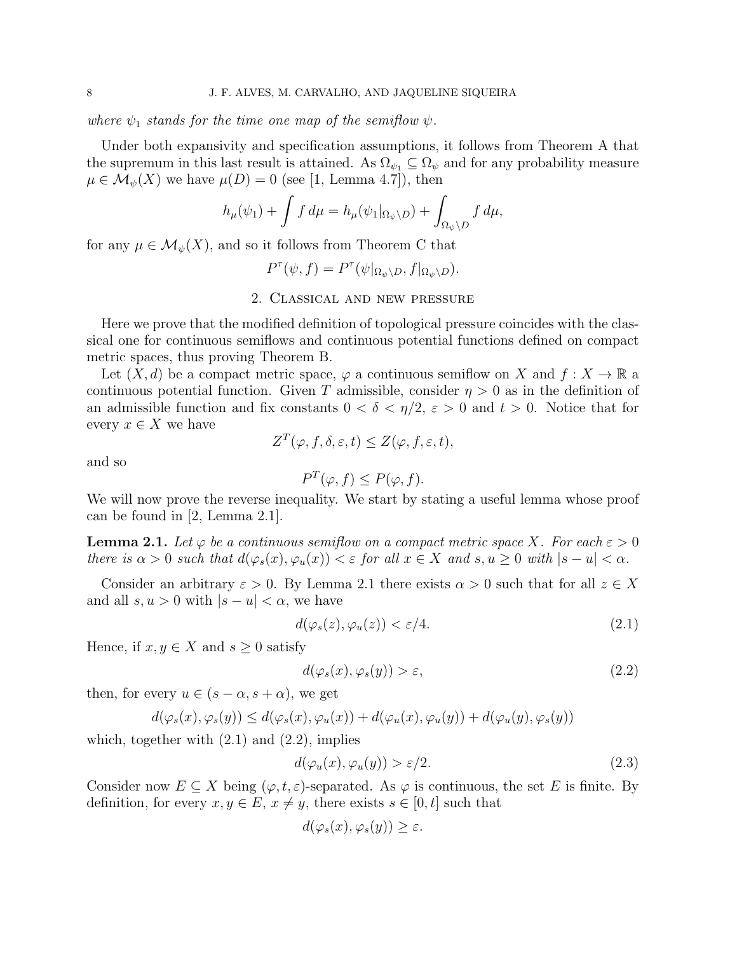*where*  $\psi_1$  *stands for the time one map of the semiflow*  $\psi$ *.* 

Under both expansivity and specification assumptions, it follows from Theorem A that the supremum in this last result is attained. As  $\Omega_{\psi_1} \subseteq \Omega_{\psi}$  and for any probability measure  $\mu \in \mathcal{M}_{\psi}(X)$  we have  $\mu(D) = 0$  (see [1, Lemma 4.7]), then

$$
h_{\mu}(\psi_1) + \int f d\mu = h_{\mu}(\psi_1|_{\Omega_{\psi}\backslash D}) + \int_{\Omega_{\psi}\backslash D} f d\mu,
$$

for any  $\mu \in \mathcal{M}_{\psi}(X)$ , and so it follows from Theorem C that

$$
P^{\tau}(\psi, f) = P^{\tau}(\psi|_{\Omega_{\psi} \backslash D}, f|_{\Omega_{\psi} \backslash D}).
$$

## 2. Classical and new pressure

Here we prove that the modified definition of topological pressure coincides with the classical one for continuous semiflows and continuous potential functions defined on compact metric spaces, thus proving Theorem B.

Let  $(X, d)$  be a compact metric space,  $\varphi$  a continuous semiflow on X and  $f: X \to \mathbb{R}$  a continuous potential function. Given *T* admissible, consider  $\eta > 0$  as in the definition of an admissible function and fix constants  $0 < \delta < \eta/2$ ,  $\varepsilon > 0$  and  $t > 0$ . Notice that for every  $x \in X$  we have

$$
Z^T(\varphi, f, \delta, \varepsilon, t) \leq Z(\varphi, f, \varepsilon, t),
$$

and so

$$
P^T(\varphi, f) \le P(\varphi, f).
$$

We will now prove the reverse inequality. We start by stating a useful lemma whose proof can be found in [2, Lemma 2.1].

**Lemma 2.1.** Let  $\varphi$  be a continuous semiflow on a compact metric space X. For each  $\varepsilon > 0$ there is  $\alpha > 0$  such that  $d(\varphi_s(x), \varphi_u(x)) < \varepsilon$  for all  $x \in X$  and  $s, u \ge 0$  with  $|s - u| < \alpha$ .

Consider an arbitrary  $\varepsilon > 0$ . By Lemma 2.1 there exists  $\alpha > 0$  such that for all  $z \in X$ and all  $s, u > 0$  with  $|s - u| < \alpha$ , we have

$$
d(\varphi_s(z), \varphi_u(z)) < \varepsilon/4. \tag{2.1}
$$

Hence, if  $x, y \in X$  and  $s \geq 0$  satisfy

$$
d(\varphi_s(x), \varphi_s(y)) > \varepsilon, \tag{2.2}
$$

then, for every  $u \in (s - \alpha, s + \alpha)$ , we get

$$
d(\varphi_s(x), \varphi_s(y)) \leq d(\varphi_s(x), \varphi_u(x)) + d(\varphi_u(x), \varphi_u(y)) + d(\varphi_u(y), \varphi_s(y))
$$

which, together with  $(2.1)$  and  $(2.2)$ , implies

$$
d(\varphi_u(x), \varphi_u(y)) > \varepsilon/2. \tag{2.3}
$$

Consider now  $E \subseteq X$  being  $(\varphi, t, \varepsilon)$ -separated. As  $\varphi$  is continuous, the set E is finite. By definition, for every  $x, y \in E$ ,  $x \neq y$ , there exists  $s \in [0, t]$  such that

$$
d(\varphi_s(x), \varphi_s(y)) \ge \varepsilon.
$$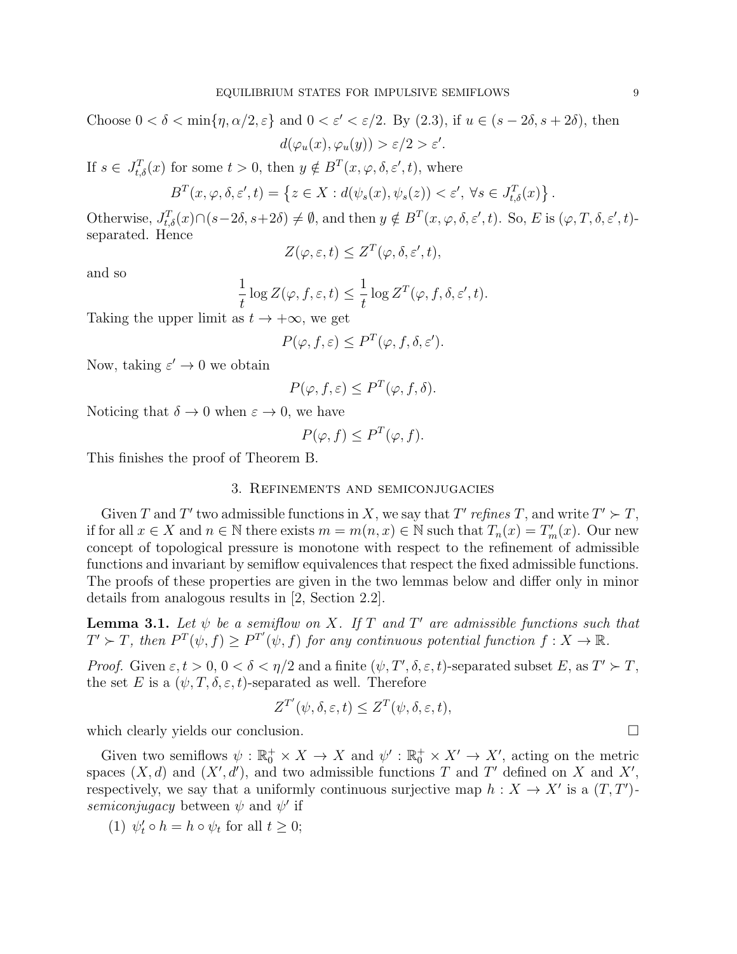Choose  $0 < \delta < \min\{\eta, \alpha/2, \varepsilon\}$  and  $0 < \varepsilon' < \varepsilon/2$ . By (2.3), if  $u \in (s - 2\delta, s + 2\delta)$ , then  $d(\varphi_u(x), \varphi_u(y)) > \varepsilon/2 > \varepsilon'.$ 

If  $s \in J_{t,\delta}^T(x)$  for some  $t > 0$ , then  $y \notin B^T(x, \varphi, \delta, \varepsilon', t)$ , where

$$
B^{T}(x, \varphi, \delta, \varepsilon', t) = \left\{ z \in X : d(\psi_{s}(x), \psi_{s}(z)) < \varepsilon', \ \forall s \in J_{t, \delta}^{T}(x) \right\}
$$

Otherwise,  $J_{t,\delta}^T(x) \cap (s-2\delta, s+2\delta) \neq \emptyset$ , and then  $y \notin B^T(x, \varphi, \delta, \varepsilon', t)$ . So, E is  $(\varphi, T, \delta, \varepsilon', t)$ separated. Hence

$$
Z(\varphi, \varepsilon, t) \le Z^T(\varphi, \delta, \varepsilon', t),
$$

and so

$$
\frac{1}{t}\log Z(\varphi, f, \varepsilon, t) \leq \frac{1}{t}\log Z^T(\varphi, f, \delta, \varepsilon', t).
$$

Taking the upper limit as  $t \to +\infty$ , we get

$$
P(\varphi, f, \varepsilon) \le P^T(\varphi, f, \delta, \varepsilon').
$$

Now, taking  $\varepsilon' \to 0$  we obtain

$$
P(\varphi, f, \varepsilon) \le P^T(\varphi, f, \delta).
$$

Noticing that  $\delta \to 0$  when  $\varepsilon \to 0$ , we have

$$
P(\varphi, f) \le P^T(\varphi, f).
$$

This finishes the proof of Theorem B.

#### 3. Refinements and semiconjugacies

Given *T* and *T'* two admissible functions in *X*, we say that *T'* refines *T*, and write  $T' \succ T$ , if for all *x* ∈ *X* and *n* ∈ N there exists  $m = m(n, x)$  ∈ N such that  $T_n(x) = T'_m(x)$ . Our new concept of topological pressure is monotone with respect to the refinement of admissible functions and invariant by semiflow equivalences that respect the fixed admissible functions. The proofs of these properties are given in the two lemmas below and differ only in minor details from analogous results in [2, Section 2.2].

**Lemma 3.1.** Let  $\psi$  be a semiflow on X. If  $T$  and  $T'$  are admissible functions such that  $T' \succ T$ , then  $P^T(\psi, f) \ge P^{T'}(\psi, f)$  for any continuous potential function  $f: X \to \mathbb{R}$ .

*Proof.* Given  $\varepsilon, t > 0, 0 < \delta < \eta/2$  and a finite  $(\psi, T', \delta, \varepsilon, t)$ -separated subset  $E$ , as  $T' \succ T$ , the set *E* is a  $(\psi, T, \delta, \varepsilon, t)$ -separated as well. Therefore

$$
Z^{T'}(\psi, \delta, \varepsilon, t) \le Z^{T}(\psi, \delta, \varepsilon, t),
$$

which clearly yields our conclusion.

Given two semiflows  $\psi : \mathbb{R}_0^+ \times X \to X$  and  $\psi' : \mathbb{R}_0^+ \times X' \to X'$ , acting on the metric spaces  $(X, d)$  and  $(X', d')$ , and two admissible functions *T* and *T'* defined on *X* and *X'*, respectively, we say that a uniformly continuous surjective map  $h: X \to X'$  is a  $(T, T')$ *semiconjugacy* between  $\psi$  and  $\psi'$  if

(1) 
$$
\psi'_t \circ h = h \circ \psi_t
$$
 for all  $t \geq 0$ ;

*.*

$$
\sqcup
$$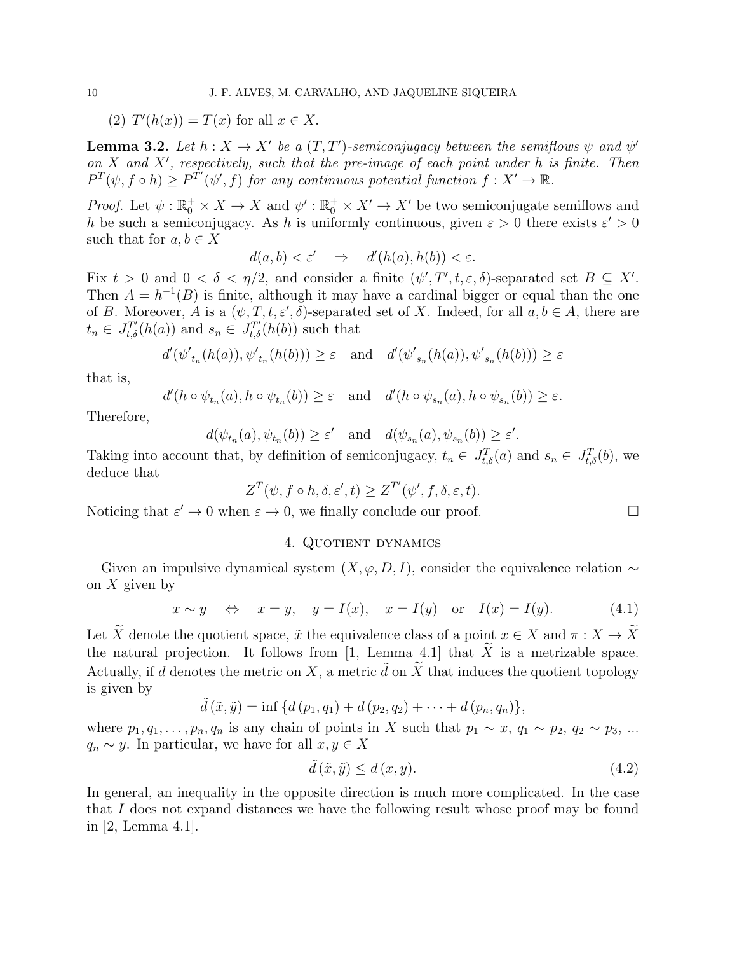$(T')T'(h(x)) = T(x)$  for all  $x \in X$ .

**Lemma 3.2.** Let  $h: X \to X'$  be a  $(T, T')$ -semiconjugacy between the semiflows  $\psi$  and  $\psi'$ *on X and X′ , respectively, such that the pre-image of each point under h is finite. Then*  $P^T(\psi, f \circ h) \geq P^{T'}(\psi', f)$  *for any continuous potential function*  $f : X' \to \mathbb{R}$ *.* 

*Proof.* Let  $\psi$ :  $\mathbb{R}_0^+ \times X \to X$  and  $\psi'$ :  $\mathbb{R}_0^+ \times X' \to X'$  be two semiconjugate semiflows and *h* be such a semiconjugacy. As *h* is uniformly continuous, given  $\varepsilon > 0$  there exists  $\varepsilon' > 0$ such that for  $a, b \in X$ 

$$
d(a,b) < \varepsilon' \quad \Rightarrow \quad d'(h(a), h(b)) < \varepsilon.
$$

Fix  $t > 0$  and  $0 < \delta < \eta/2$ , and consider a finite  $(\psi', T', t, \varepsilon, \delta)$ -separated set  $B \subseteq X'$ . Then  $A = h^{-1}(B)$  is finite, although it may have a cardinal bigger or equal than the one of *B*. Moreover, *A* is a  $(\psi, T, t, \varepsilon', \delta)$ -separated set of *X*. Indeed, for all  $a, b \in A$ , there are  $t_n \in J_{t,\delta}^{T'}(h(a))$  and  $s_n \in J_{t,\delta}^{T'}(h(b))$  such that

$$
d'(\psi'_{t_n}(h(a)), \psi'_{t_n}(h(b))) \geq \varepsilon
$$
 and  $d'(\psi'_{s_n}(h(a)), \psi'_{s_n}(h(b))) \geq \varepsilon$ 

that is,

$$
d'(h \circ \psi_{t_n}(a), h \circ \psi_{t_n}(b)) \geq \varepsilon \quad \text{and} \quad d'(h \circ \psi_{s_n}(a), h \circ \psi_{s_n}(b)) \geq \varepsilon.
$$

Therefore,

$$
d(\psi_{t_n}(a), \psi_{t_n}(b)) \ge \varepsilon'
$$
 and  $d(\psi_{s_n}(a), \psi_{s_n}(b)) \ge \varepsilon'.$ 

Taking into account that, by definition of semiconjugacy,  $t_n \in J_{t,\delta}^T(a)$  and  $s_n \in J_{t,\delta}^T(b)$ , we deduce that

$$
Z^T(\psi, f \circ h, \delta, \varepsilon', t) \ge Z^{T'}(\psi', f, \delta, \varepsilon, t).
$$

Noticing that  $\varepsilon' \to 0$  when  $\varepsilon \to 0$ , we finally conclude our proof.

## 4. QUOTIENT DYNAMICS

Given an impulsive dynamical system  $(X, \varphi, D, I)$ , consider the equivalence relation  $\sim$ on *X* given by

$$
x \sim y \quad \Leftrightarrow \quad x = y, \quad y = I(x), \quad x = I(y) \quad \text{or} \quad I(x) = I(y).
$$
 (4.1)

Let  $\widetilde{X}$  denote the quotient space,  $\widetilde{x}$  the equivalence class of a point  $x \in X$  and  $\pi : X \to \widetilde{X}$ the natural projection. It follows from [1, Lemma 4.1] that  $\tilde{X}$  is a metrizable space. Actually, if *d* denotes the metric on *X*, a metric  $\tilde{d}$  on  $\tilde{X}$  that induces the quotient topology is given by

$$
\tilde{d}(\tilde{x}, \tilde{y}) = \inf \{ d(p_1, q_1) + d(p_2, q_2) + \cdots + d(p_n, q_n) \},
$$

where  $p_1, q_1, \ldots, p_n, q_n$  is any chain of points in *X* such that  $p_1 \sim x, q_1 \sim p_2, q_2 \sim p_3, \ldots$ *q*<sup>*n*</sup>  $\sim$  *y*. In particular, we have for all *x*, *y* ∈ *X* 

$$
\tilde{d}(\tilde{x}, \tilde{y}) \le d(x, y). \tag{4.2}
$$

In general, an inequality in the opposite direction is much more complicated. In the case that *I* does not expand distances we have the following result whose proof may be found in [2, Lemma 4.1].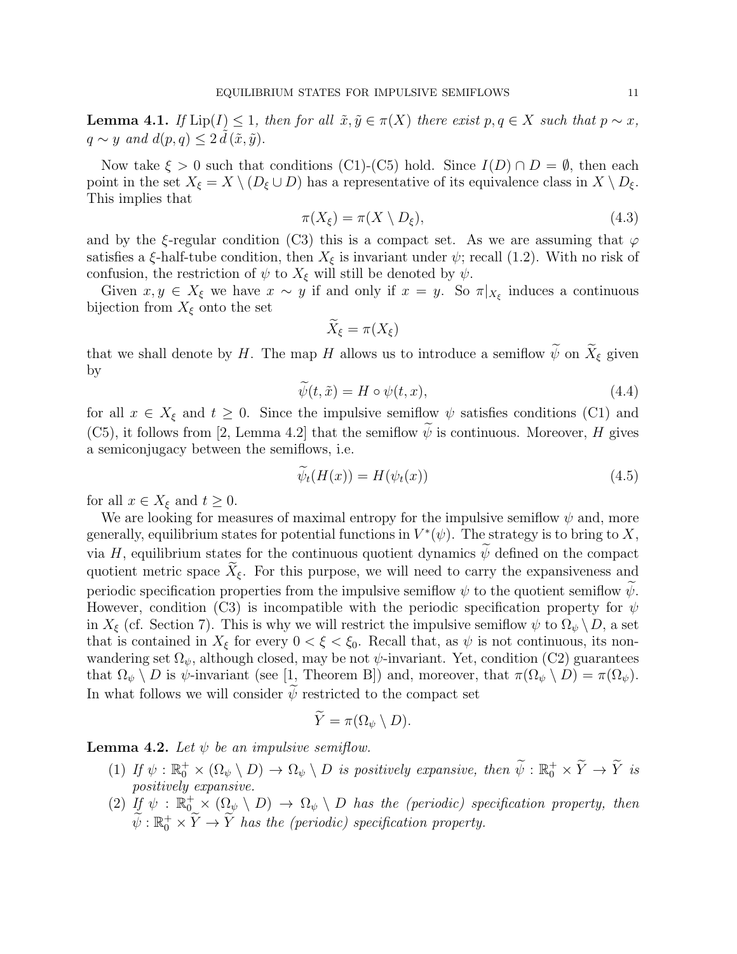**Lemma 4.1.** *If*  $\text{Lip}(I) \leq 1$ *, then for all*  $\tilde{x}, \tilde{y} \in \pi(X)$  *there exist*  $p, q \in X$  *such that*  $p \sim x$ *,*  $q \sim y$  *and*  $d(p, q) \leq 2 \tilde{d}(\tilde{x}, \tilde{y})$ .

Now take  $\xi > 0$  such that conditions (C1)-(C5) hold. Since  $I(D) \cap D = \emptyset$ , then each point in the set  $X_{\xi} = X \setminus (D_{\xi} \cup D)$  has a representative of its equivalence class in  $X \setminus D_{\xi}$ . This implies that

$$
\pi(X_{\xi}) = \pi(X \setminus D_{\xi}),\tag{4.3}
$$

and by the *ξ*-regular condition (C3) this is a compact set. As we are assuming that  $\varphi$ satisfies a *ξ*-half-tube condition, then  $X_{\xi}$  is invariant under  $\psi$ ; recall (1.2). With no risk of confusion, the restriction of  $\psi$  to  $X_{\xi}$  will still be denoted by  $\psi$ .

Given  $x, y \in X_{\xi}$  we have  $x \sim y$  if and only if  $x = y$ . So  $\pi|_{X_{\xi}}$  induces a continuous bijection from  $X_{\xi}$  onto the set

$$
\widetilde{X}_{\xi} = \pi(X_{\xi})
$$

that we shall denote by *H*. The map *H* allows us to introduce a semiflow  $\widetilde{\psi}$  on  $\widetilde{X}_{\xi}$  given by

$$
\psi(t,\tilde{x}) = H \circ \psi(t,x),\tag{4.4}
$$

for all  $x \in X_{\xi}$  and  $t \geq 0$ . Since the impulsive semiflow  $\psi$  satisfies conditions (C1) and (C5), it follows from [2, Lemma 4.2] that the semiflow  $\widetilde{\psi}$  is continuous. Moreover, *H* gives a semiconjugacy between the semiflows, i.e.

$$
\psi_t(H(x)) = H(\psi_t(x))
$$
\n(4.5)

for all  $x \in X_{\xi}$  and  $t \geq 0$ .

We are looking for measures of maximal entropy for the impulsive semiflow *ψ* and, more generally, equilibrium states for potential functions in  $V^*(\psi)$ . The strategy is to bring to X, via *H*, equilibrium states for the continuous quotient dynamics  $\psi$  defined on the compact quotient metric space  $\widetilde{X}_{\xi}$ . For this purpose, we will need to carry the expansiveness and periodic specification properties from the impulsive semiflow  $\psi$  to the quotient semiflow  $\psi$ . However, condition (C3) is incompatible with the periodic specification property for *ψ* in  $X_{\xi}$  (cf. Section 7). This is why we will restrict the impulsive semiflow  $\psi$  to  $\Omega_{\psi} \setminus D$ , a set that is contained in  $X_{\xi}$  for every  $0 < \xi < \xi_0$ . Recall that, as  $\psi$  is not continuous, its nonwandering set  $\Omega_{\psi}$ , although closed, may be not  $\psi$ -invariant. Yet, condition (C2) guarantees that  $\Omega_{\psi} \setminus D$  is  $\psi$ -invariant (see [1, Theorem B]) and, moreover, that  $\pi(\Omega_{\psi} \setminus D) = \pi(\Omega_{\psi})$ . In what follows we will consider  $\psi$  restricted to the compact set

$$
Y = \pi(\Omega_{\psi} \setminus D).
$$

**Lemma 4.2.** Let  $\psi$  be an impulsive semiflow.

- $(1)$  *If*  $\psi$  :  $\mathbb{R}_0^+ \times (\Omega_{\psi} \setminus D) \to \Omega_{\psi} \setminus D$  is positively expansive, then  $\widetilde{\psi}$  :  $\mathbb{R}_0^+ \times \widetilde{Y} \to \widetilde{Y}$  is *positively expansive.*
- (2) If  $\psi$  :  $\mathbb{R}_0^+ \times (\Omega_{\psi} \setminus D) \to \Omega_{\psi} \setminus D$  has the (periodic) specification property, then  $\widetilde{\psi} : \mathbb{R}^+_0 \times \widetilde{Y} \to \widetilde{Y}$  has the (periodic) specification property.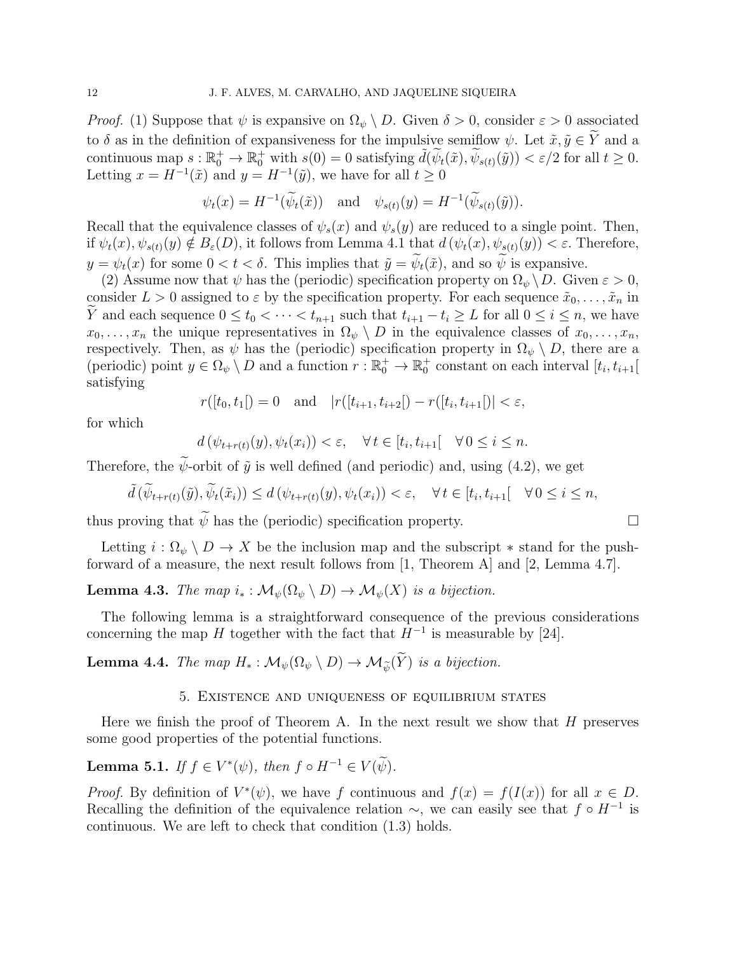*Proof.* (1) Suppose that  $\psi$  is expansive on  $\Omega_{\psi} \setminus D$ . Given  $\delta > 0$ , consider  $\varepsilon > 0$  associated to  $\delta$  as in the definition of expansiveness for the impulsive semiflow  $\psi$ . Let  $\tilde{x}, \tilde{y} \in \tilde{Y}$  and a continuous map  $s : \mathbb{R}_0^+ \to \mathbb{R}_0^+$  with  $s(0) = 0$  satisfying  $\tilde{d}(\widetilde{\psi}_t(\tilde{x}), \widetilde{\psi}_{s(t)}(\tilde{y})) < \varepsilon/2$  for all  $t \geq 0$ . Letting  $x = H^{-1}(\tilde{x})$  and  $y = H^{-1}(\tilde{y})$ , we have for all  $t \ge 0$ 

$$
\psi_t(x) = H^{-1}(\widetilde{\psi}_t(\tilde{x}))
$$
 and  $\psi_{s(t)}(y) = H^{-1}(\widetilde{\psi}_{s(t)}(\tilde{y})).$ 

Recall that the equivalence classes of  $\psi_s(x)$  and  $\psi_s(y)$  are reduced to a single point. Then, if  $\psi_t(x), \psi_{s(t)}(y) \notin B_{\varepsilon}(D)$ , it follows from Lemma 4.1 that  $d(\psi_t(x), \psi_{s(t)}(y)) < \varepsilon$ . Therefore,  $y = \psi_t(x)$  for some  $0 < t < \delta$ . This implies that  $\tilde{y} = \tilde{\psi}_t(\tilde{x})$ , and so  $\tilde{\psi}$  is expansive.

(2) Assume now that  $\psi$  has the (periodic) specification property on  $\Omega_{\psi} \setminus D$ . Given  $\varepsilon > 0$ , consider  $L > 0$  assigned to  $\varepsilon$  by the specification property. For each sequence  $\tilde{x}_0, \ldots, \tilde{x}_n$  in *Y* and each sequence  $0 \le t_0 < \cdots < t_{n+1}$  such that  $t_{i+1} - t_i \ge L$  for all  $0 \le i \le n$ , we have  $x_0, \ldots, x_n$  the unique representatives in  $\Omega_{\psi} \setminus D$  in the equivalence classes of  $x_0, \ldots, x_n$ , respectively. Then, as  $\psi$  has the (periodic) specification property in  $\Omega_{\psi} \setminus D$ , there are a (periodic) point  $y \in \Omega_{\psi} \setminus D$  and a function  $r : \mathbb{R}^+_0 \to \mathbb{R}^+_0$  constant on each interval  $[t_i, t_{i+1}]$ satisfying

$$
r([t_0, t_1]) = 0
$$
 and  $|r([t_{i+1}, t_{i+2}]) - r([t_i, t_{i+1}])| < \varepsilon$ ,

for which

$$
d(\psi_{t+r(t)}(y), \psi_t(x_i)) < \varepsilon, \quad \forall \, t \in [t_i, t_{i+1}[ \quad \forall \, 0 \le i \le n.
$$

Therefore, the  $\tilde{\psi}$ -orbit of  $\tilde{\psi}$  is well defined (and periodic) and, using (4.2), we get

$$
\tilde{d}(\tilde{\psi}_{t+r(t)}(\tilde{y}), \tilde{\psi}_t(\tilde{x}_i)) \leq d(\psi_{t+r(t)}(y), \psi_t(x_i)) < \varepsilon, \quad \forall \, t \in [t_i, t_{i+1}[ \quad \forall \, 0 \leq i \leq n,
$$

thus proving that  $\widetilde{\psi}$  has the (periodic) specification property.

Letting  $i : \Omega_{\psi} \setminus D \to X$  be the inclusion map and the subscript  $*$  stand for the pushforward of a measure, the next result follows from [1, Theorem A] and [2, Lemma 4.7].

**Lemma 4.3.** *The map*  $i_* : \mathcal{M}_{\psi}(\Omega_{\psi} \setminus D) \to \mathcal{M}_{\psi}(X)$  *is a bijection.* 

The following lemma is a straightforward consequence of the previous considerations concerning the map *H* together with the fact that  $H^{-1}$  is measurable by [24].

**Lemma 4.4.** *The map*  $H_*: \mathcal{M}_{\psi}(\Omega_{\psi} \setminus D) \to \mathcal{M}_{\psi}(\widetilde{Y})$  *is a bijection.* 

### 5. Existence and uniqueness of equilibrium states

Here we finish the proof of Theorem A. In the next result we show that *H* preserves some good properties of the potential functions.

**Lemma 5.1.** *If*  $f \in V^*(\psi)$ , then  $f \circ H^{-1} \in V(\psi)$ .

*Proof.* By definition of  $V^*(\psi)$ , we have *f* continuous and  $f(x) = f(I(x))$  for all  $x \in D$ . Recalling the definition of the equivalence relation  $\sim$ , we can easily see that  $f \circ H^{-1}$  is continuous. We are left to check that condition (1.3) holds.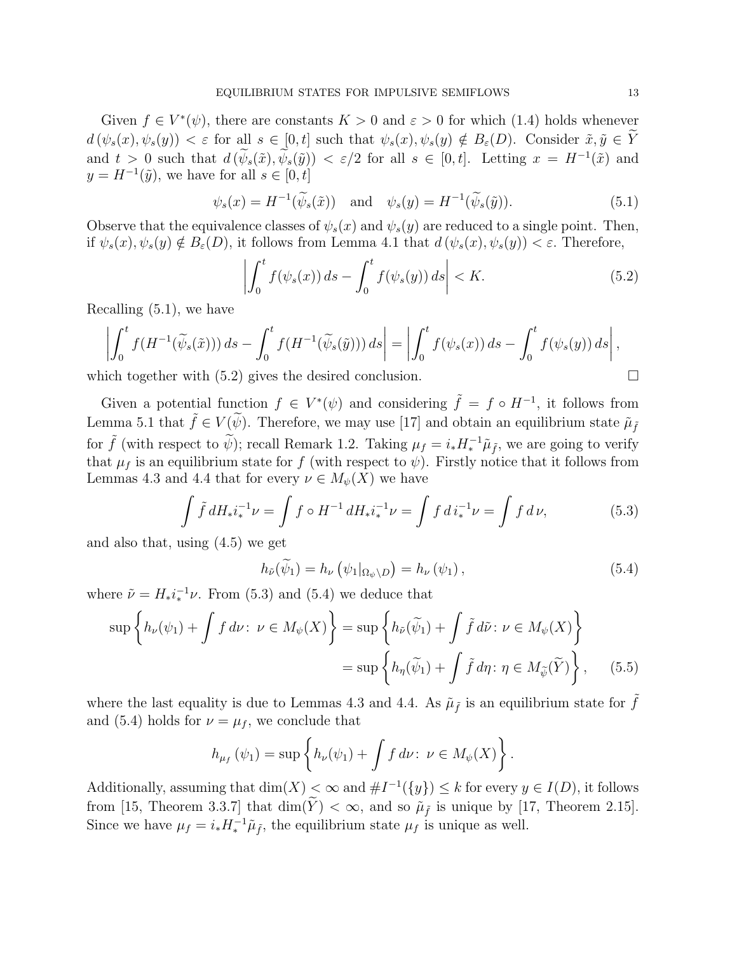Given  $f \in V^*(\psi)$ , there are constants  $K > 0$  and  $\varepsilon > 0$  for which (1.4) holds whenever  $d(\psi_s(x), \psi_s(y)) < \varepsilon$  for all  $s \in [0, t]$  such that  $\psi_s(x), \psi_s(y) \notin B_{\varepsilon}(D)$ . Consider  $\tilde{x}, \tilde{y} \in \tilde{Y}$ and  $t > 0$  such that  $d(\psi_s(\tilde{x}), \psi_s(\tilde{y})) < \varepsilon/2$  for all  $s \in [0, t]$ . Letting  $x = H^{-1}(\tilde{x})$  and  $y = H^{-1}(\tilde{y})$ , we have for all  $s \in [0, t]$ 

$$
\psi_s(x) = H^{-1}(\widetilde{\psi}_s(\tilde{x})) \quad \text{and} \quad \psi_s(y) = H^{-1}(\widetilde{\psi}_s(\tilde{y})). \tag{5.1}
$$

Observe that the equivalence classes of  $\psi_s(x)$  and  $\psi_s(y)$  are reduced to a single point. Then, if  $\psi_s(x), \psi_s(y) \notin B_\varepsilon(D)$ , it follows from Lemma 4.1 that  $d(\psi_s(x), \psi_s(y)) < \varepsilon$ . Therefore,

$$
\left| \int_0^t f(\psi_s(x)) ds - \int_0^t f(\psi_s(y)) ds \right| < K. \tag{5.2}
$$

Recalling (5.1), we have

$$
\left| \int_0^t f(H^{-1}(\widetilde{\psi}_s(\tilde{x}))) ds - \int_0^t f(H^{-1}(\widetilde{\psi}_s(\tilde{y}))) ds \right| = \left| \int_0^t f(\psi_s(x)) ds - \int_0^t f(\psi_s(y)) ds \right|,
$$

which together with  $(5.2)$  gives the desired conclusion.

Given a potential function  $f \in V^*(\psi)$  and considering  $\tilde{f} = f \circ H^{-1}$ , it follows from Lemma 5.1 that  $\tilde{f} \in V(\tilde{\psi})$ . Therefore, we may use [17] and obtain an equilibrium state  $\tilde{\mu}_{\tilde{f}}$ for  $\tilde{f}$  (with respect to  $\tilde{\psi}$ ); recall Remark 1.2. Taking  $\mu_f = i_* H_*^{-1} \tilde{\mu}_{\tilde{f}}$ , we are going to verify that  $\mu_f$  is an equilibrium state for *f* (with respect to  $\psi$ ). Firstly notice that it follows from Lemmas 4.3 and 4.4 that for every  $\nu \in M_{\psi}(X)$  we have

$$
\int \tilde{f} \, dH_* i_*^{-1} \nu = \int f \circ H^{-1} \, dH_* i_*^{-1} \nu = \int f \, d i_*^{-1} \nu = \int f \, d \nu, \tag{5.3}
$$

and also that, using (4.5) we get

$$
h_{\tilde{\nu}}(\tilde{\psi}_1) = h_{\nu}(\psi_1|_{\Omega_{\psi}\backslash D}) = h_{\nu}(\psi_1), \qquad (5.4)
$$

where  $\tilde{\nu} = H_* i_*^{-1} \nu$ . From (5.3) and (5.4) we deduce that

$$
\sup \left\{ h_{\nu}(\psi_1) + \int f \, d\nu \colon \nu \in M_{\psi}(X) \right\} = \sup \left\{ h_{\tilde{\nu}}(\tilde{\psi}_1) + \int \tilde{f} \, d\tilde{\nu} \colon \nu \in M_{\psi}(X) \right\}
$$

$$
= \sup \left\{ h_{\eta}(\tilde{\psi}_1) + \int \tilde{f} \, d\eta \colon \eta \in M_{\tilde{\psi}}(\tilde{Y}) \right\}, \tag{5.5}
$$

where the last equality is due to Lemmas 4.3 and 4.4. As  $\tilde{\mu}_{\tilde{f}}$  is an equilibrium state for  $\tilde{f}$ and (5.4) holds for  $\nu = \mu_f$ , we conclude that

$$
h_{\mu_f}(\psi_1) = \sup \left\{ h_{\nu}(\psi_1) + \int f \, d\nu \colon \, \nu \in M_{\psi}(X) \right\}.
$$

Additionally, assuming that  $\dim(X) < \infty$  and  $\#I^{-1}(\{y\}) \leq k$  for every  $y \in I(D)$ , it follows from [15, Theorem 3.3.7] that  $\dim(Y) < \infty$ , and so  $\tilde{\mu}_{\tilde{f}}$  is unique by [17, Theorem 2.15]. Since we have  $\mu_f = i_* H_*^{-1} \tilde{\mu}_{\tilde{f}}$ , the equilibrium state  $\mu_f$  is unique as well.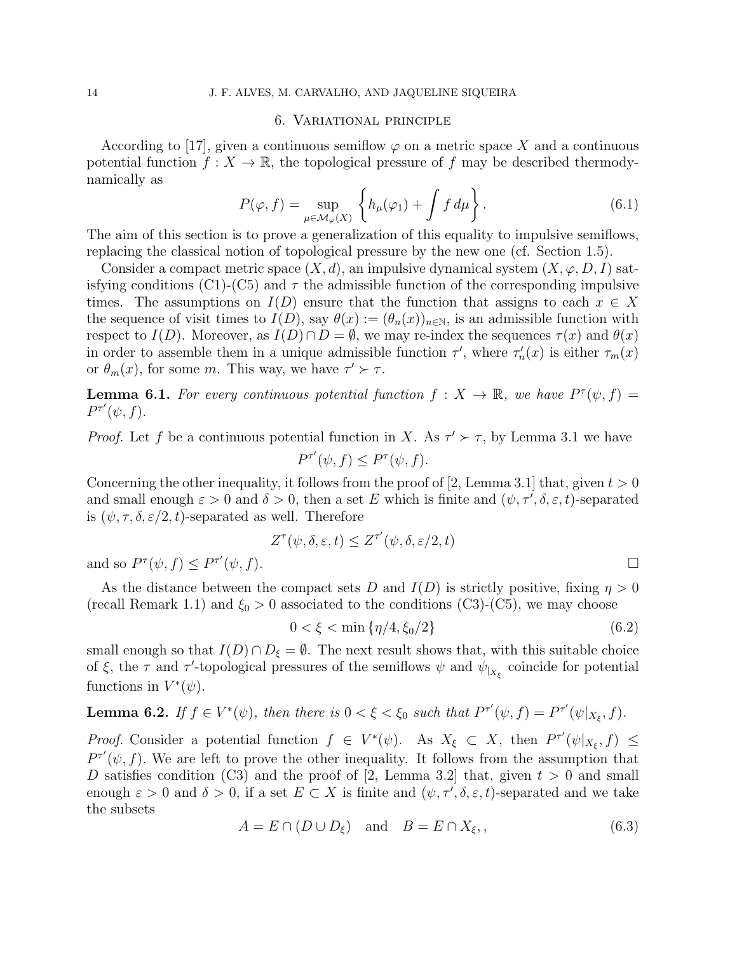#### 14 J. F. ALVES, M. CARVALHO, AND JAQUELINE SIQUEIRA

#### 6. Variational principle

According to [17], given a continuous semiflow  $\varphi$  on a metric space X and a continuous potential function  $f: X \to \mathbb{R}$ , the topological pressure of f may be described thermodynamically as

$$
P(\varphi, f) = \sup_{\mu \in \mathcal{M}_{\varphi}(X)} \left\{ h_{\mu}(\varphi_1) + \int f \, d\mu \right\}.
$$
 (6.1)

The aim of this section is to prove a generalization of this equality to impulsive semiflows, replacing the classical notion of topological pressure by the new one (cf. Section 1.5).

Consider a compact metric space  $(X, d)$ , an impulsive dynamical system  $(X, \varphi, D, I)$  satisfying conditions  $(C1)$ - $(C5)$  and  $\tau$  the admissible function of the corresponding impulsive times. The assumptions on  $I(D)$  ensure that the function that assigns to each  $x \in X$ the sequence of visit times to  $I(D)$ , say  $\theta(x) := (\theta_n(x))_{n \in \mathbb{N}}$ , is an admissible function with respect to  $I(D)$ . Moreover, as  $I(D) \cap D = \emptyset$ , we may re-index the sequences  $\tau(x)$  and  $\theta(x)$ in order to assemble them in a unique admissible function  $\tau'$ , where  $\tau'_n(x)$  is either  $\tau_m(x)$ or  $\theta_m(x)$ , for some *m*. This way, we have  $\tau' \succ \tau$ .

**Lemma 6.1.** For every continuous potential function  $f: X \to \mathbb{R}$ , we have  $P^{\tau}(\psi, f) =$  $P^{\tau'}(\psi, f)$ .

*Proof.* Let f be a continuous potential function in *X*. As  $\tau' \succ \tau$ , by Lemma 3.1 we have  $P^{\tau'}(\psi, f) \leq P^{\tau}(\psi, f).$ 

Concerning the other inequality, it follows from the proof of [2, Lemma 3.1] that, given  $t > 0$ and small enough  $\varepsilon > 0$  and  $\delta > 0$ , then a set *E* which is finite and  $(\psi, \tau', \delta, \varepsilon, t)$ -separated is  $(\psi, \tau, \delta, \varepsilon/2, t)$ -separated as well. Therefore

$$
Z^{\tau}(\psi, \delta, \varepsilon, t) \leq Z^{\tau'}(\psi, \delta, \varepsilon/2, t)
$$
  

$$
(\psi, f).
$$

and so  $P^{\tau}(\psi, f) \leq P^{\tau'}$ 

As the distance between the compact sets *D* and  $I(D)$  is strictly positive, fixing  $\eta > 0$ (recall Remark 1.1) and  $\xi_0 > 0$  associated to the conditions (C3)-(C5), we may choose

$$
0 < \xi < \min\left\{\eta/4, \xi_0/2\right\} \tag{6.2}
$$

small enough so that  $I(D) \cap D_{\xi} = \emptyset$ . The next result shows that, with this suitable choice of  $\xi$ , the  $\tau$  and  $\tau'$ -topological pressures of the semiflows  $\psi$  and  $\psi_{|_{X_{\xi}}}$  coincide for potential functions in  $V^*(\psi)$ .

**Lemma 6.2.** If 
$$
f \in V^*(\psi)
$$
, then there is  $0 < \xi < \xi_0$  such that  $P^{\tau'}(\psi, f) = P^{\tau'}(\psi|_{X_{\xi}}, f)$ .

*Proof.* Consider a potential function  $f \in V^*(\psi)$ . As  $X_{\xi} \subset X$ , then  $P^{\tau'}(\psi|_{X_{\xi}}, f) \leq$  $P^{\tau'}(\psi, f)$ . We are left to prove the other inequality. It follows from the assumption that *D* satisfies condition (C3) and the proof of [2, Lemma 3.2] that, given  $t > 0$  and small enough  $\varepsilon > 0$  and  $\delta > 0$ , if a set  $E \subset X$  is finite and  $(\psi, \tau', \delta, \varepsilon, t)$ -separated and we take the subsets

$$
A = E \cap (D \cup D_{\xi}) \quad \text{and} \quad B = E \cap X_{\xi},\tag{6.3}
$$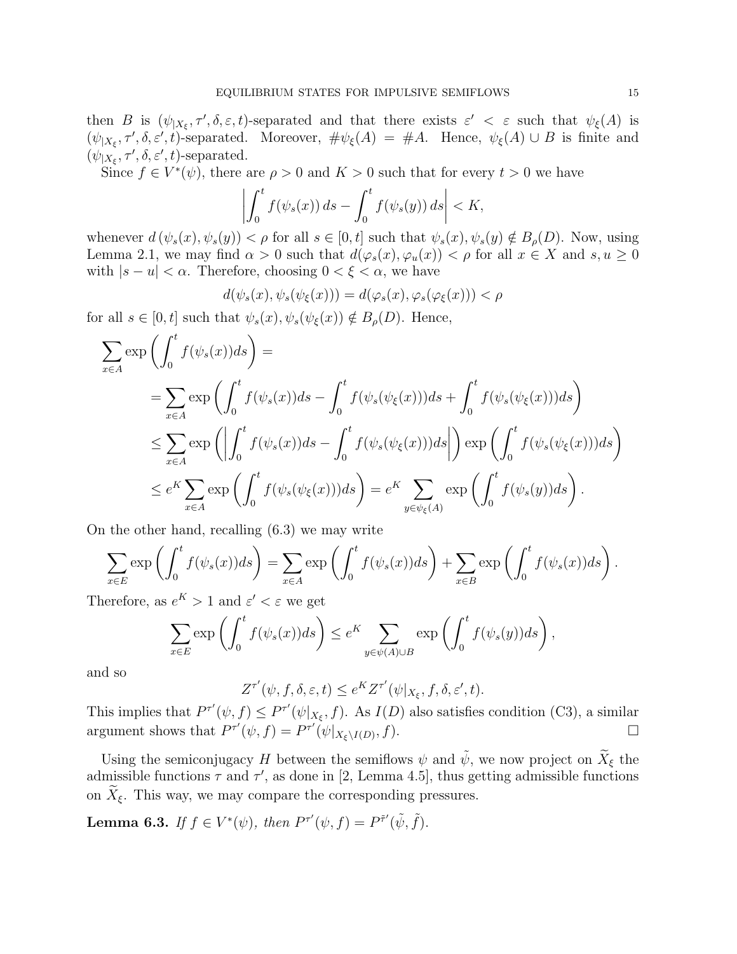then *B* is  $(\psi_{|X_{\xi}}, \tau', \delta, \varepsilon, t)$ -separated and that there exists  $\varepsilon' < \varepsilon$  such that  $\psi_{\xi}(A)$  is  $(\psi|_{X_{\xi}}, \tau', \delta, \varepsilon', t)$ -separated. Moreover,  $\#\psi_{\xi}(A) = \#A$ . Hence,  $\psi_{\xi}(A) \cup B$  is finite and  $(\psi_{|X_{\xi}}, \tau', \delta, \varepsilon', t)$ -separated.

Since  $f \in V^*(\psi)$ , there are  $\rho > 0$  and  $K > 0$  such that for every  $t > 0$  we have

$$
\left| \int_0^t f(\psi_s(x)) ds - \int_0^t f(\psi_s(y)) ds \right| < K,
$$

whenever  $d(\psi_s(x), \psi_s(y)) < \rho$  for all  $s \in [0, t]$  such that  $\psi_s(x), \psi_s(y) \notin B_\rho(D)$ . Now, using Lemma 2.1, we may find  $\alpha > 0$  such that  $d(\varphi_s(x), \varphi_u(x)) < \rho$  for all  $x \in X$  and  $s, u \ge 0$ with  $|s - u| < \alpha$ . Therefore, choosing  $0 < \xi < \alpha$ , we have

$$
d(\psi_s(x), \psi_s(\psi_\xi(x))) = d(\varphi_s(x), \varphi_s(\varphi_\xi(x))) < \rho
$$

for all  $s \in [0, t]$  such that  $\psi_s(x), \psi_s(\psi_\xi(x)) \notin B_\rho(D)$ . Hence,

$$
\sum_{x \in A} \exp\left(\int_0^t f(\psi_s(x))ds\right) =
$$
\n
$$
= \sum_{x \in A} \exp\left(\int_0^t f(\psi_s(x))ds - \int_0^t f(\psi_s(\psi_\xi(x)))ds + \int_0^t f(\psi_s(\psi_\xi(x)))ds\right)
$$
\n
$$
\leq \sum_{x \in A} \exp\left(\left|\int_0^t f(\psi_s(x))ds - \int_0^t f(\psi_s(\psi_\xi(x)))ds\right|\right) \exp\left(\int_0^t f(\psi_s(\psi_\xi(x)))ds\right)
$$
\n
$$
\leq e^K \sum_{x \in A} \exp\left(\int_0^t f(\psi_s(\psi_\xi(x)))ds\right) = e^K \sum_{y \in \psi_\xi(A)} \exp\left(\int_0^t f(\psi_s(y))ds\right).
$$

On the other hand, recalling (6.3) we may write

$$
\sum_{x \in E} \exp\left(\int_0^t f(\psi_s(x))ds\right) = \sum_{x \in A} \exp\left(\int_0^t f(\psi_s(x))ds\right) + \sum_{x \in B} \exp\left(\int_0^t f(\psi_s(x))ds\right).
$$

Therefore, as  $e^K > 1$  and  $\varepsilon' < \varepsilon$  we get

$$
\sum_{x \in E} \exp\left(\int_0^t f(\psi_s(x))ds\right) \le e^K \sum_{y \in \psi(A) \cup B} \exp\left(\int_0^t f(\psi_s(y))ds\right),
$$

and so

 $Z^{\tau'}(\psi, f, \delta, \varepsilon, t) \leq e^{K} Z^{\tau'}(\psi|_{X_{\xi}}, f, \delta, \varepsilon', t).$ 

This implies that  $P^{\tau'}(\psi, f) \leq P^{\tau'}(\psi |_{X_{\xi}}, f)$ . As  $I(D)$  also satisfies condition (C3), a similar argument shows that  $P^{\tau'}(\psi, f) = P^{\tau'}(\psi|_{X_{\xi} \setminus I(D)}, f).$ 

Using the semiconjugacy *H* between the semiflows  $\psi$  and  $\tilde{\psi}$ , we now project on  $\tilde{X}_{\xi}$  the admissible functions  $\tau$  and  $\tau'$ , as done in [2, Lemma 4.5], thus getting admissible functions on  $\tilde{X}_{\xi}$ . This way, we may compare the corresponding pressures.

**Lemma 6.3.** *If*  $f \in V^*(\psi)$ *, then*  $P^{\tau'}(\psi, f) = P^{\tilde{\tau}'}(\tilde{\psi}, \tilde{f})$ *.*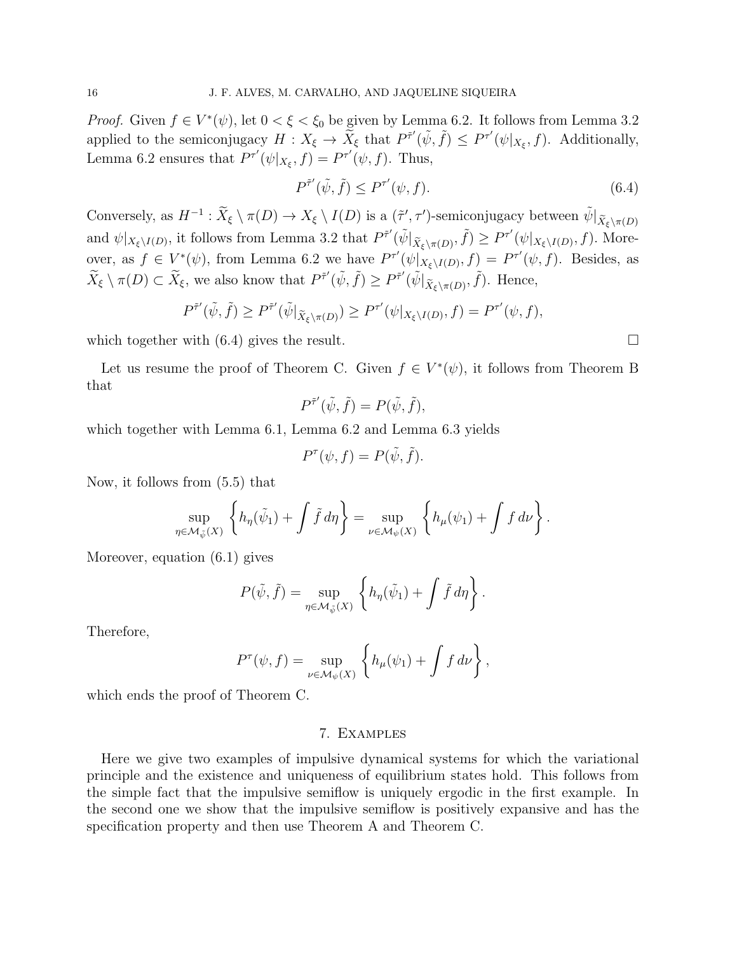*Proof.* Given  $f \in V^*(\psi)$ , let  $0 < \xi < \xi_0$  be given by Lemma 6.2. It follows from Lemma 3.2 applied to the semiconjugacy  $H: X_{\xi} \to \widetilde{X}_{\xi}$  that  $P^{\tilde{\tau}'}(\tilde{\psi}, \tilde{f}) \leq P^{\tau'}(\psi|_{X_{\xi}}, f)$ . Additionally, Lemma 6.2 ensures that  $P^{\tau'}(\psi|_{X_{\xi}}, f) = P^{\tau'}(\psi, f)$ . Thus,

$$
P^{\tilde{\tau}'}(\tilde{\psi}, \tilde{f}) \le P^{\tau'}(\psi, f). \tag{6.4}
$$

Conversely, as  $H^{-1}$ :  $\widetilde{X}_{\xi} \setminus \pi(D) \to X_{\xi} \setminus I(D)$  is a  $(\widetilde{\tau}', \tau')$ -semiconjugacy between  $\widetilde{\psi}|_{\widetilde{X}_{\xi} \setminus \pi(D)}$ and  $\psi|_{X_{\xi}\backslash I(D)}$ , it follows from Lemma 3.2 that  $P^{\tilde{\tau}'}(\tilde{\psi}|_{\tilde{X}_{\xi}\backslash \pi(D)}, \tilde{f}) \geq P^{\tau'}(\psi|_{X_{\xi}\backslash I(D)}, f)$ . Moreover, as  $f \in V^*(\psi)$ , from Lemma 6.2 we have  $P^{\tau'}(\psi|_{X_{\xi}\backslash I(D)}, f) = P^{\tau'}(\psi, f)$ . Besides, as  $\widetilde{X}_{\xi} \setminus \pi(D) \subset \widetilde{X}_{\xi}$ , we also know that  $P^{\tilde{\tau}'}(\tilde{\psi}, \tilde{f}) \ge P^{\tilde{\tau}'}(\tilde{\psi}|_{\tilde{X}_{\xi} \setminus \pi(D)}, \tilde{f})$ . Hence,

$$
P^{\tilde{\tau}'}(\tilde{\psi},\tilde{f}) \ge P^{\tilde{\tau}'}(\tilde{\psi}|_{\tilde{X}_{\xi}\backslash \pi(D)}) \ge P^{\tau'}(\psi|_{X_{\xi}\backslash I(D)},f) = P^{\tau'}(\psi,f),
$$

which together with  $(6.4)$  gives the result.

Let us resume the proof of Theorem C. Given  $f \in V^*(\psi)$ , it follows from Theorem B that

$$
P^{\tilde{\tau}'}(\tilde{\psi},\tilde{f}) = P(\tilde{\psi},\tilde{f}),
$$

which together with Lemma 6.1, Lemma 6.2 and Lemma 6.3 yields

$$
P^{\tau}(\psi, f) = P(\tilde{\psi}, \tilde{f}).
$$

Now, it follows from (5.5) that

$$
\sup_{\eta \in \mathcal{M}_{\tilde{\psi}}(X)} \left\{ h_{\eta}(\tilde{\psi}_1) + \int \tilde{f} \, d\eta \right\} = \sup_{\nu \in \mathcal{M}_{\psi}(X)} \left\{ h_{\mu}(\psi_1) + \int f \, d\nu \right\}.
$$

Moreover, equation (6.1) gives

$$
P(\tilde{\psi}, \tilde{f}) = \sup_{\eta \in \mathcal{M}_{\tilde{\psi}}(X)} \left\{ h_{\eta}(\tilde{\psi}_1) + \int \tilde{f} \, d\eta \right\}.
$$

Therefore,

$$
P^{\tau}(\psi, f) = \sup_{\nu \in \mathcal{M}_{\psi}(X)} \left\{ h_{\mu}(\psi_1) + \int f \, d\nu \right\},\,
$$

which ends the proof of Theorem C.

#### 7. Examples

Here we give two examples of impulsive dynamical systems for which the variational principle and the existence and uniqueness of equilibrium states hold. This follows from the simple fact that the impulsive semiflow is uniquely ergodic in the first example. In the second one we show that the impulsive semiflow is positively expansive and has the specification property and then use Theorem A and Theorem C.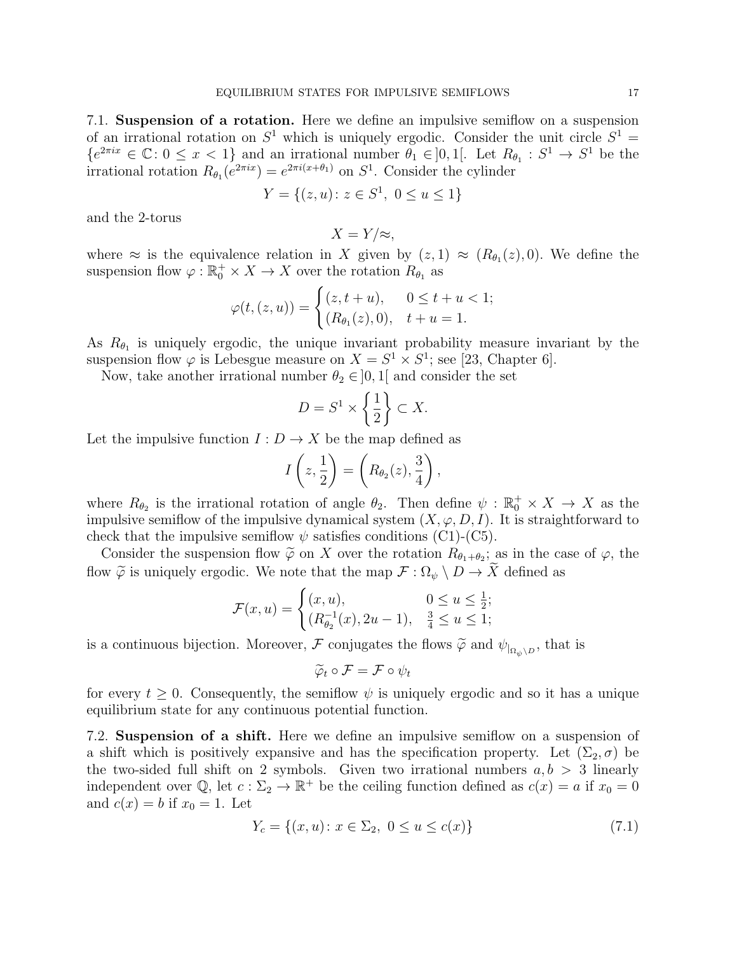7.1. **Suspension of a rotation.** Here we define an impulsive semiflow on a suspension of an irrational rotation on  $S^1$  which is uniquely ergodic. Consider the unit circle  $S^1$  =  ${e}^{2\pi ix} \in \mathbb{C}$ :  $0 \leq x < 1$ } and an irrational number  $\theta_1 \in ]0,1[$ . Let  $R_{\theta_1} : S^1 \to S^1$  be the irrational rotation  $R_{\theta_1}(e^{2\pi ix}) = e^{2\pi i(x+\theta_1)}$  on  $S^1$ . Consider the cylinder

$$
Y = \{(z, u) \colon z \in S^1, \ 0 \le u \le 1\}
$$

and the 2-torus

$$
X=Y/\approx,
$$

where  $\approx$  is the equivalence relation in *X* given by  $(z,1) \approx (R_{\theta_1}(z),0)$ . We define the suspension flow  $\varphi : \mathbb{R}^+_0 \times X \to X$  over the rotation  $R_{\theta_1}$  as

$$
\varphi(t,(z,u)) = \begin{cases} (z,t+u), & 0 \le t+u < 1; \\ (R_{\theta_1}(z),0), & t+u = 1. \end{cases}
$$

As  $R_{\theta_1}$  is uniquely ergodic, the unique invariant probability measure invariant by the suspension flow  $\varphi$  is Lebesgue measure on  $X = S^1 \times S^1$ ; see [23, Chapter 6].

Now, take another irrational number  $\theta_2 \in ]0,1[$  and consider the set

$$
D = S^1 \times \left\{ \frac{1}{2} \right\} \subset X.
$$

Let the impulsive function  $I: D \to X$  be the map defined as

$$
I\left(z,\frac{1}{2}\right) = \left(R_{\theta_2}(z),\frac{3}{4}\right),\,
$$

where  $R_{\theta_2}$  is the irrational rotation of angle  $\theta_2$ . Then define  $\psi$  :  $\mathbb{R}_0^+ \times X \to X$  as the impulsive semiflow of the impulsive dynamical system  $(X, \varphi, D, I)$ . It is straightforward to check that the impulsive semiflow  $\psi$  satisfies conditions (C1)-(C5).

Consider the suspension flow  $\widetilde{\varphi}$  on *X* over the rotation  $R_{\theta_1+\theta_2}$ ; as in the case of  $\varphi$ , the flow  $\widetilde{\varphi}$  is uniquely ergodic. We note that the map  $\mathcal{F}: \Omega_{\psi} \setminus D \to \widetilde{X}$  defined as

$$
\mathcal{F}(x, u) = \begin{cases} (x, u), & 0 \le u \le \frac{1}{2}; \\ (R_{\theta_2}^{-1}(x), 2u - 1), & \frac{3}{4} \le u \le 1; \end{cases}
$$

is a continuous bijection. Moreover,  $\mathcal F$  conjugates the flows  $\widetilde{\varphi}$  and  $\psi_{\vert_{\Omega_{\psi}\setminus D}}$ , that is

$$
\widetilde{\varphi}_t \circ \mathcal{F} = \mathcal{F} \circ \psi_t
$$

for every  $t \geq 0$ . Consequently, the semiflow  $\psi$  is uniquely ergodic and so it has a unique equilibrium state for any continuous potential function.

7.2. **Suspension of a shift.** Here we define an impulsive semiflow on a suspension of a shift which is positively expansive and has the specification property. Let  $(\Sigma_2, \sigma)$  be the two-sided full shift on 2 symbols. Given two irrational numbers  $a, b > 3$  linearly independent over  $\mathbb{Q}$ , let  $c: \Sigma_2 \to \mathbb{R}^+$  be the ceiling function defined as  $c(x) = a$  if  $x_0 = 0$ and  $c(x) = b$  if  $x_0 = 1$ . Let

$$
Y_c = \{(x, u) \colon x \in \Sigma_2, \ 0 \le u \le c(x)\}\tag{7.1}
$$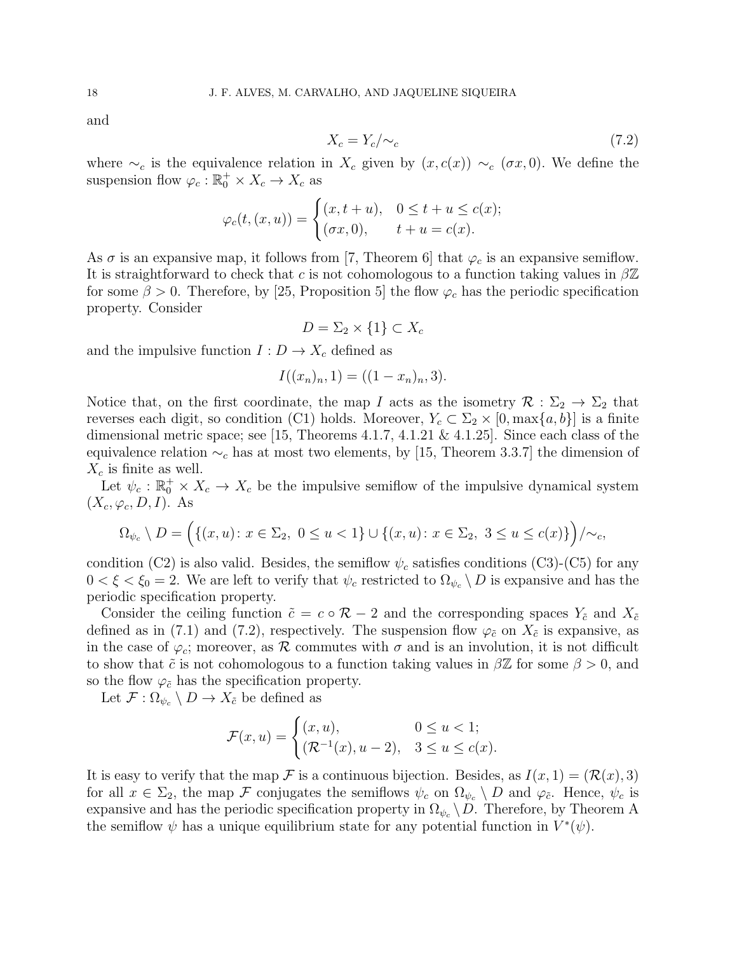and

$$
X_c = Y_c / \sim_c \tag{7.2}
$$

where  $\sim_c$  is the equivalence relation in  $X_c$  given by  $(x, c(x)) \sim_c (\sigma x, 0)$ . We define the suspension flow  $\varphi_c : \mathbb{R}_0^+ \times X_c \to X_c$  as

$$
\varphi_c(t,(x,u)) = \begin{cases} (x,t+u), & 0 \le t+u \le c(x); \\ (\sigma x,0), & t+u = c(x). \end{cases}
$$

As  $\sigma$  is an expansive map, it follows from [7, Theorem 6] that  $\varphi_c$  is an expansive semiflow. It is straightforward to check that *c* is not cohomologous to a function taking values in *β*Z for some  $\beta > 0$ . Therefore, by [25, Proposition 5] the flow  $\varphi_c$  has the periodic specification property. Consider

$$
D = \Sigma_2 \times \{1\} \subset X_c
$$

and the impulsive function  $I: D \to X_c$  defined as

$$
I((x_n)_n, 1) = ((1 - x_n)_n, 3).
$$

Notice that, on the first coordinate, the map *I* acts as the isometry  $\mathcal{R} : \Sigma_2 \to \Sigma_2$  that reverses each digit, so condition (C1) holds. Moreover,  $Y_c \subset \Sigma_2 \times [0, \max\{a, b\}]$  is a finite dimensional metric space; see [15, Theorems 4.1.7, 4.1.21 & 4.1.25]. Since each class of the equivalence relation *∼<sup>c</sup>* has at most two elements, by [15, Theorem 3.3.7] the dimension of *X<sup>c</sup>* is finite as well.

Let  $\psi_c : \mathbb{R}_0^+ \times X_c \to X_c$  be the impulsive semiflow of the impulsive dynamical system  $(X_c, \varphi_c, D, I)$ . As

$$
\Omega_{\psi_c} \setminus D = \Big( \{ (x, u) \colon x \in \Sigma_2, \ 0 \le u < 1 \} \cup \{ (x, u) \colon x \in \Sigma_2, \ 3 \le u \le c(x) \} \Big) / \sim_c,
$$

condition (C2) is also valid. Besides, the semiflow  $\psi_c$  satisfies conditions (C3)-(C5) for any  $0 < \xi < \xi_0 = 2$ . We are left to verify that  $\psi_c$  restricted to  $\Omega_{\psi_c} \setminus D$  is expansive and has the periodic specification property.

Consider the ceiling function  $\tilde{c} = c \circ \mathcal{R} - 2$  and the corresponding spaces  $Y_{\tilde{c}}$  and  $X_{\tilde{c}}$ defined as in (7.1) and (7.2), respectively. The suspension flow  $\varphi_{\tilde{c}}$  on  $X_{\tilde{c}}$  is expansive, as in the case of  $\varphi_c$ ; moreover, as  $\mathcal R$  commutes with  $\sigma$  and is an involution, it is not difficult to show that  $\tilde{c}$  is not cohomologous to a function taking values in  $\beta \mathbb{Z}$  for some  $\beta > 0$ , and so the flow  $\varphi_{\tilde{c}}$  has the specification property.

Let  $\mathcal{F}: \Omega_{\psi_c} \setminus D \to X_{\tilde{c}}$  be defined as

$$
\mathcal{F}(x, u) = \begin{cases} (x, u), & 0 \le u < 1; \\ (\mathcal{R}^{-1}(x), u - 2), & 3 \le u \le c(x). \end{cases}
$$

It is easy to verify that the map  $\mathcal F$  is a continuous bijection. Besides, as  $I(x, 1) = (\mathcal R(x), 3)$ for all  $x \in \Sigma_2$ , the map *F* conjugates the semiflows  $\psi_c$  on  $\Omega_{\psi_c} \setminus D$  and  $\varphi_{\tilde{c}}$ . Hence,  $\psi_c$  is expansive and has the periodic specification property in  $\Omega_{\psi_c} \backslash D$ . Therefore, by Theorem A the semiflow  $\psi$  has a unique equilibrium state for any potential function in  $V^*(\psi)$ .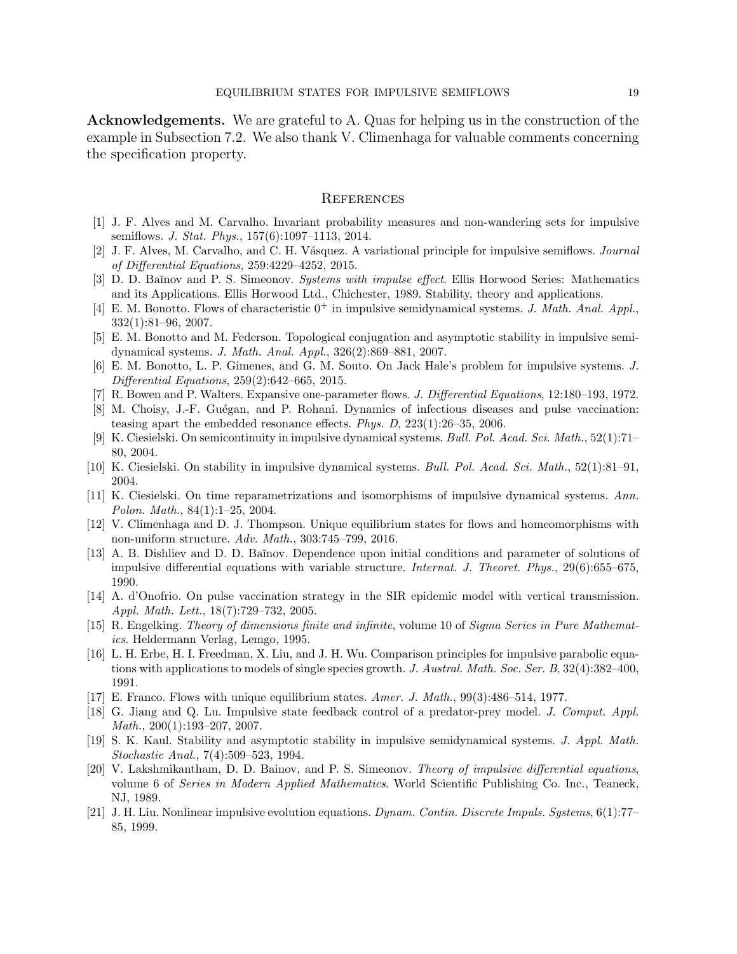**Acknowledgements.** We are grateful to A. Quas for helping us in the construction of the example in Subsection 7.2. We also thank V. Climenhaga for valuable comments concerning the specification property.

#### **REFERENCES**

- [1] J. F. Alves and M. Carvalho. Invariant probability measures and non-wandering sets for impulsive semiflows. *J. Stat. Phys.*, 157(6):1097–1113, 2014.
- [2] J. F. Alves, M. Carvalho, and C. H. V´asquez. A variational principle for impulsive semiflows. *Journal of Differential Equations*, 259:4229–4252, 2015.
- [3] D. D. Ba˘ınov and P. S. Simeonov. *Systems with impulse effect*. Ellis Horwood Series: Mathematics and its Applications. Ellis Horwood Ltd., Chichester, 1989. Stability, theory and applications.
- [4] E. M. Bonotto. Flows of characteristic  $0^+$  in impulsive semidynamical systems. *J. Math. Anal. Appl.*, 332(1):81–96, 2007.
- [5] E. M. Bonotto and M. Federson. Topological conjugation and asymptotic stability in impulsive semidynamical systems. *J. Math. Anal. Appl.*, 326(2):869–881, 2007.
- [6] E. M. Bonotto, L. P. Gimenes, and G. M. Souto. On Jack Hale's problem for impulsive systems. *J. Differential Equations*, 259(2):642–665, 2015.
- [7] R. Bowen and P. Walters. Expansive one-parameter flows. *J. Differential Equations*, 12:180–193, 1972.
- [8] M. Choisy, J.-F. Guégan, and P. Rohani. Dynamics of infectious diseases and pulse vaccination: teasing apart the embedded resonance effects. *Phys. D*, 223(1):26–35, 2006.
- [9] K. Ciesielski. On semicontinuity in impulsive dynamical systems. *Bull. Pol. Acad. Sci. Math.*, 52(1):71– 80, 2004.
- [10] K. Ciesielski. On stability in impulsive dynamical systems. *Bull. Pol. Acad. Sci. Math.*, 52(1):81–91, 2004.
- [11] K. Ciesielski. On time reparametrizations and isomorphisms of impulsive dynamical systems. *Ann. Polon. Math.*, 84(1):1–25, 2004.
- [12] V. Climenhaga and D. J. Thompson. Unique equilibrium states for flows and homeomorphisms with non-uniform structure. *Adv. Math.*, 303:745–799, 2016.
- [13] A. B. Dishliev and D. D. Baĭnov. Dependence upon initial conditions and parameter of solutions of impulsive differential equations with variable structure. *Internat. J. Theoret. Phys.*, 29(6):655–675, 1990.
- [14] A. d'Onofrio. On pulse vaccination strategy in the SIR epidemic model with vertical transmission. *Appl. Math. Lett.*, 18(7):729–732, 2005.
- [15] R. Engelking. *Theory of dimensions finite and infinite*, volume 10 of *Sigma Series in Pure Mathematics*. Heldermann Verlag, Lemgo, 1995.
- [16] L. H. Erbe, H. I. Freedman, X. Liu, and J. H. Wu. Comparison principles for impulsive parabolic equations with applications to models of single species growth. *J. Austral. Math. Soc. Ser. B*, 32(4):382–400, 1991.
- [17] E. Franco. Flows with unique equilibrium states. *Amer. J. Math.*, 99(3):486–514, 1977.
- [18] G. Jiang and Q. Lu. Impulsive state feedback control of a predator-prey model. *J. Comput. Appl. Math.*, 200(1):193–207, 2007.
- [19] S. K. Kaul. Stability and asymptotic stability in impulsive semidynamical systems. *J. Appl. Math. Stochastic Anal.*, 7(4):509–523, 1994.
- [20] V. Lakshmikantham, D. D. Bainov, and P. S. Simeonov. *Theory of impulsive differential equations*, volume 6 of *Series in Modern Applied Mathematics*. World Scientific Publishing Co. Inc., Teaneck, NJ, 1989.
- [21] J. H. Liu. Nonlinear impulsive evolution equations. *Dynam. Contin. Discrete Impuls. Systems*, 6(1):77– 85, 1999.